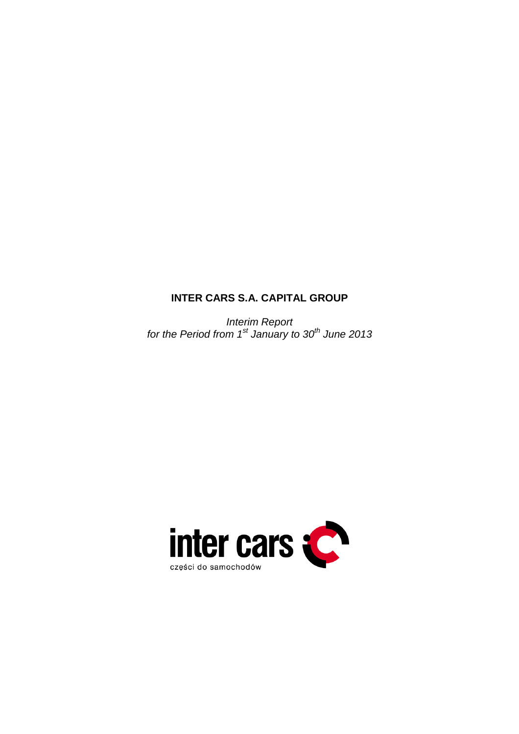# **INTER CARS S.A. CAPITAL GROUP**

Interim Report for the Period from 1st January to 30<sup>th</sup> June 2013

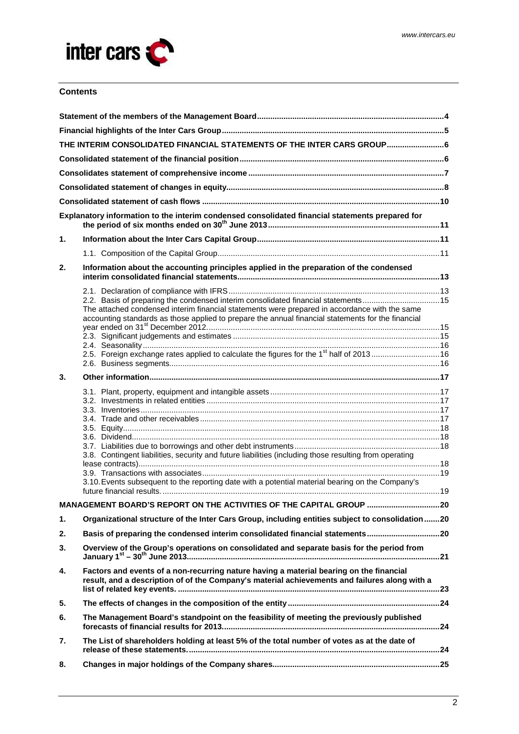

# **Contents**

|    | THE INTERIM CONSOLIDATED FINANCIAL STATEMENTS OF THE INTER CARS GROUP6                                                                                                                                                                                                                   |  |
|----|------------------------------------------------------------------------------------------------------------------------------------------------------------------------------------------------------------------------------------------------------------------------------------------|--|
|    |                                                                                                                                                                                                                                                                                          |  |
|    |                                                                                                                                                                                                                                                                                          |  |
|    |                                                                                                                                                                                                                                                                                          |  |
|    |                                                                                                                                                                                                                                                                                          |  |
|    | Explanatory information to the interim condensed consolidated financial statements prepared for                                                                                                                                                                                          |  |
| 1. |                                                                                                                                                                                                                                                                                          |  |
|    |                                                                                                                                                                                                                                                                                          |  |
| 2. | Information about the accounting principles applied in the preparation of the condensed                                                                                                                                                                                                  |  |
|    |                                                                                                                                                                                                                                                                                          |  |
|    | 2.2. Basis of preparing the condensed interim consolidated financial statements15<br>The attached condensed interim financial statements were prepared in accordance with the same<br>accounting standards as those applied to prepare the annual financial statements for the financial |  |
|    |                                                                                                                                                                                                                                                                                          |  |
|    | 2.5. Foreign exchange rates applied to calculate the figures for the 1 <sup>st</sup> half of 2013 16                                                                                                                                                                                     |  |
|    |                                                                                                                                                                                                                                                                                          |  |
| 3. |                                                                                                                                                                                                                                                                                          |  |
|    |                                                                                                                                                                                                                                                                                          |  |
|    |                                                                                                                                                                                                                                                                                          |  |
|    |                                                                                                                                                                                                                                                                                          |  |
|    |                                                                                                                                                                                                                                                                                          |  |
|    |                                                                                                                                                                                                                                                                                          |  |
|    | 3.8. Contingent liabilities, security and future liabilities (including those resulting from operating                                                                                                                                                                                   |  |
|    |                                                                                                                                                                                                                                                                                          |  |
|    | 3.10. Events subsequent to the reporting date with a potential material bearing on the Company's                                                                                                                                                                                         |  |
|    | MANAGEMENT BOARD'S REPORT ON THE ACTIVITIES OF THE CAPITAL GROUP  20                                                                                                                                                                                                                     |  |
| 1. | Organizational structure of the Inter Cars Group, including entities subject to consolidation20                                                                                                                                                                                          |  |
| 2. | Basis of preparing the condensed interim consolidated financial statements20                                                                                                                                                                                                             |  |
| 3. | Overview of the Group's operations on consolidated and separate basis for the period from                                                                                                                                                                                                |  |
| 4. | Factors and events of a non-recurring nature having a material bearing on the financial<br>result, and a description of of the Company's material achievements and failures along with a                                                                                                 |  |
| 5. |                                                                                                                                                                                                                                                                                          |  |
| 6. | The Management Board's standpoint on the feasibility of meeting the previously published                                                                                                                                                                                                 |  |
| 7. | The List of shareholders holding at least 5% of the total number of votes as at the date of                                                                                                                                                                                              |  |
| 8. |                                                                                                                                                                                                                                                                                          |  |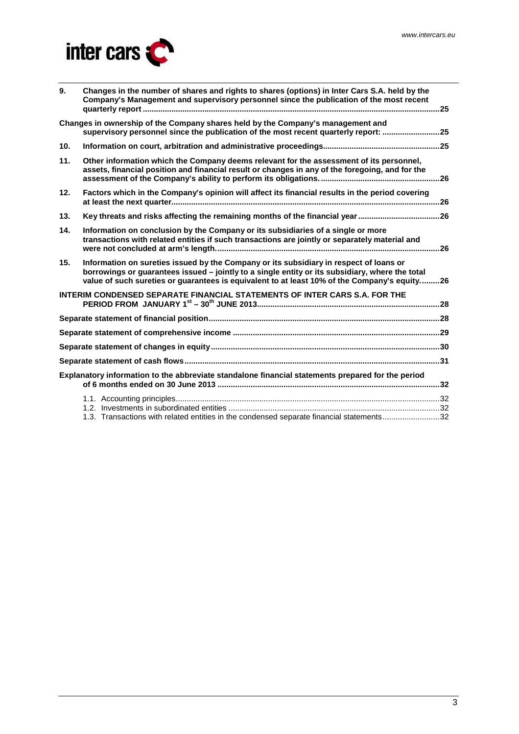

| 9.  | Changes in the number of shares and rights to shares (options) in Inter Cars S.A. held by the<br>Company's Management and supervisory personnel since the publication of the most recent                                                                                                  |  |
|-----|-------------------------------------------------------------------------------------------------------------------------------------------------------------------------------------------------------------------------------------------------------------------------------------------|--|
|     | Changes in ownership of the Company shares held by the Company's management and<br>supervisory personnel since the publication of the most recent quarterly report: 25                                                                                                                    |  |
| 10. |                                                                                                                                                                                                                                                                                           |  |
| 11. | Other information which the Company deems relevant for the assessment of its personnel,<br>assets, financial position and financial result or changes in any of the foregoing, and for the                                                                                                |  |
| 12. | Factors which in the Company's opinion will affect its financial results in the period covering                                                                                                                                                                                           |  |
| 13. | Key threats and risks affecting the remaining months of the financial year 26                                                                                                                                                                                                             |  |
| 14. | Information on conclusion by the Company or its subsidiaries of a single or more<br>transactions with related entities if such transactions are jointly or separately material and                                                                                                        |  |
| 15. | Information on sureties issued by the Company or its subsidiary in respect of loans or<br>borrowings or guarantees issued - jointly to a single entity or its subsidiary, where the total<br>value of such sureties or guarantees is equivalent to at least 10% of the Company's equity26 |  |
|     | <b>INTERIM CONDENSED SEPARATE FINANCIAL STATEMENTS OF INTER CARS S.A. FOR THE</b>                                                                                                                                                                                                         |  |
|     |                                                                                                                                                                                                                                                                                           |  |
|     |                                                                                                                                                                                                                                                                                           |  |
|     |                                                                                                                                                                                                                                                                                           |  |
|     |                                                                                                                                                                                                                                                                                           |  |
|     | Explanatory information to the abbreviate standalone financial statements prepared for the period                                                                                                                                                                                         |  |
|     |                                                                                                                                                                                                                                                                                           |  |
|     | 1.3. Transactions with related entities in the condensed separate financial statements32                                                                                                                                                                                                  |  |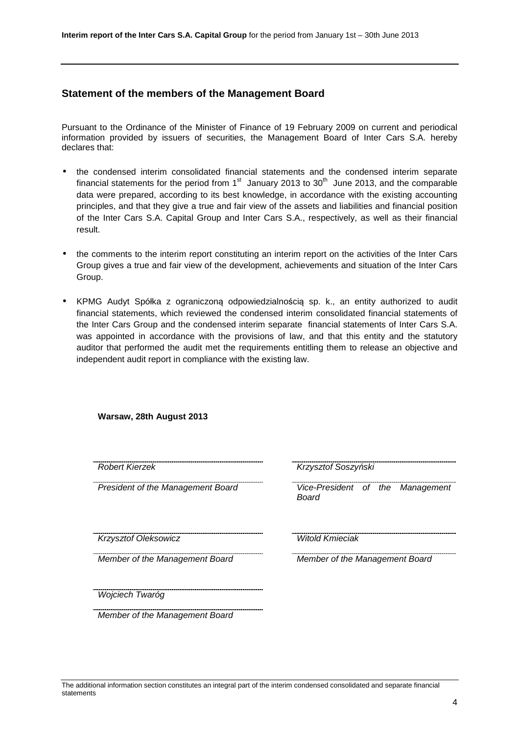# **Statement of the members of the Management Board**

Pursuant to the Ordinance of the Minister of Finance of 19 February 2009 on current and periodical information provided by issuers of securities, the Management Board of Inter Cars S.A. hereby declares that:

- the condensed interim consolidated financial statements and the condensed interim separate financial statements for the period from  $1<sup>st</sup>$  January 2013 to 30<sup>th</sup> June 2013, and the comparable data were prepared, according to its best knowledge, in accordance with the existing accounting principles, and that they give a true and fair view of the assets and liabilities and financial position of the Inter Cars S.A. Capital Group and Inter Cars S.A., respectively, as well as their financial result.
- the comments to the interim report constituting an interim report on the activities of the Inter Cars Group gives a true and fair view of the development, achievements and situation of the Inter Cars Group.
- KPMG Audyt Spółka z ograniczoną odpowiedzialnością sp. k., an entity authorized to audit financial statements, which reviewed the condensed interim consolidated financial statements of the Inter Cars Group and the condensed interim separate financial statements of Inter Cars S.A. was appointed in accordance with the provisions of law, and that this entity and the statutory auditor that performed the audit met the requirements entitling them to release an objective and independent audit report in compliance with the existing law.

| Robert Kierzek                    | Krzysztof Soszyński                       |
|-----------------------------------|-------------------------------------------|
| President of the Management Board | Vice-President of the Management<br>Board |
| Krzysztof Oleksowicz              | <b>Witold Kmieciak</b>                    |
| Member of the Management Board    | Member of the Management Board            |
| Wojciech Twaróg                   |                                           |
| Member of the Management Board    |                                           |

#### **Warsaw, 28th August 2013**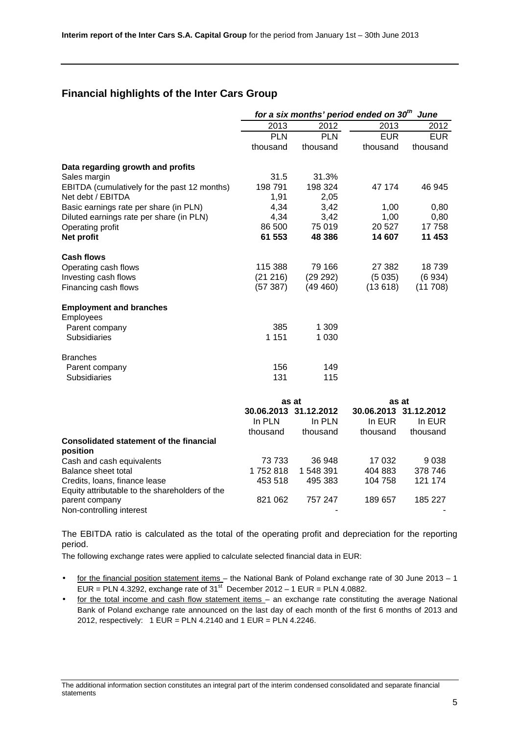# **Financial highlights of the Inter Cars Group**

|                                                | for a six months' period ended on 30 <sup>th</sup><br>June |                       |            |                       |  |  |
|------------------------------------------------|------------------------------------------------------------|-----------------------|------------|-----------------------|--|--|
|                                                | 2013                                                       | 2012                  | 2013       | 2012                  |  |  |
|                                                | <b>PLN</b>                                                 | <b>PLN</b>            | <b>EUR</b> | <b>EUR</b>            |  |  |
|                                                | thousand                                                   | thousand              | thousand   | thousand              |  |  |
| Data regarding growth and profits              |                                                            |                       |            |                       |  |  |
| Sales margin                                   | 31.5                                                       | 31.3%                 |            |                       |  |  |
| EBITDA (cumulatively for the past 12 months)   | 198 791                                                    | 198 324               | 47 174     | 46 945                |  |  |
| Net debt / EBITDA                              | 1,91                                                       | 2,05                  |            |                       |  |  |
| Basic earnings rate per share (in PLN)         | 4,34                                                       | 3,42                  | 1,00       | 0,80                  |  |  |
| Diluted earnings rate per share (in PLN)       | 4,34                                                       | 3,42                  | 1,00       | 0,80                  |  |  |
| Operating profit                               | 86 500                                                     | 75 019                | 20 5 27    | 17758                 |  |  |
| Net profit                                     | 61 553                                                     | 48 386                | 14 607     | 11 453                |  |  |
| <b>Cash flows</b>                              |                                                            |                       |            |                       |  |  |
| Operating cash flows                           | 115 388                                                    | 79 166                | 27 382     | 18739                 |  |  |
| Investing cash flows                           | (21 216)                                                   | (29 292)              | (5035)     | (6934)                |  |  |
| Financing cash flows                           | (57387)                                                    | (49 460)              | (13618)    | (11708)               |  |  |
| <b>Employment and branches</b>                 |                                                            |                       |            |                       |  |  |
| Employees                                      |                                                            |                       |            |                       |  |  |
| Parent company                                 | 385                                                        | 1 309                 |            |                       |  |  |
| <b>Subsidiaries</b>                            | 1 1 5 1                                                    | 1 0 3 0               |            |                       |  |  |
| <b>Branches</b>                                |                                                            |                       |            |                       |  |  |
| Parent company                                 | 156                                                        | 149                   |            |                       |  |  |
| <b>Subsidiaries</b>                            | 131                                                        | 115                   |            |                       |  |  |
|                                                |                                                            | as at                 | as at      |                       |  |  |
|                                                |                                                            | 30.06.2013 31.12.2012 |            | 30.06.2013 31.12.2012 |  |  |
|                                                | In PLN                                                     | In PLN                | In EUR     | In EUR                |  |  |
|                                                | thousand                                                   | thousand              | thousand   | thousand              |  |  |
| <b>Consolidated statement of the financial</b> |                                                            |                       |            |                       |  |  |
| position                                       |                                                            |                       |            |                       |  |  |
| Cash and cash equivalents                      | 73733                                                      | 36 948                | 17 032     | 9038                  |  |  |
| Balance sheet total                            | 1752818                                                    | 1 548 391             | 404 883    | 378 746               |  |  |
| Credits, Ioans, finance lease                  | 453 518                                                    | 495 383               | 104 758    | 121 174               |  |  |
| Equity attributable to the shareholders of the |                                                            |                       |            |                       |  |  |
| parent company                                 | 821 062                                                    | 757 247               | 189 657    | 185 227               |  |  |
| Non-controlling interest                       |                                                            |                       |            |                       |  |  |

The EBITDA ratio is calculated as the total of the operating profit and depreciation for the reporting period.

The following exchange rates were applied to calculate selected financial data in EUR:

- for the financial position statement items the National Bank of Poland exchange rate of 30 June 2013 1 EUR = PLN 4.3292, exchange rate of 31<sup>st</sup> December 2012 – 1 EUR = PLN 4.0882.
- for the total income and cash flow statement items an exchange rate constituting the average National Bank of Poland exchange rate announced on the last day of each month of the first 6 months of 2013 and 2012, respectively: 1 EUR = PLN 4.2140 and 1 EUR = PLN 4.2246.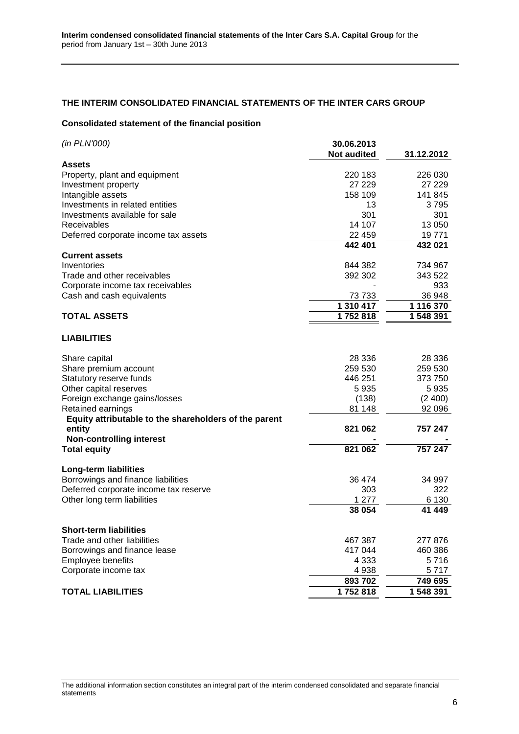# **THE INTERIM CONSOLIDATED FINANCIAL STATEMENTS OF THE INTER CARS GROUP**

#### **Consolidated statement of the financial position**

| <b>Assets</b><br>226 030<br>Property, plant and equipment<br>220 183<br>27 229<br>27 229<br>Investment property<br>Intangible assets<br>158 109<br>141 845<br>Investments in related entities<br>3795<br>13<br>Investments available for sale<br>301<br>301<br>14 107<br>13 050<br>Receivables<br>19771<br>Deferred corporate income tax assets<br>22 459<br>442 401<br>432 021<br><b>Current assets</b><br>844 382<br>734 967<br>Inventories<br>Trade and other receivables<br>343 522<br>392 302<br>933<br>Corporate income tax receivables<br>36 948<br>Cash and cash equivalents<br>73733<br>1 310 417<br>1 116 370<br><b>TOTAL ASSETS</b><br>1752818<br>1 548 391<br><b>LIABILITIES</b><br>28 336<br>28 336<br>Share capital<br>Share premium account<br>259 530<br>259 530<br>Statutory reserve funds<br>446 251<br>373 750<br>Other capital reserves<br>5935<br>5935<br>Foreign exchange gains/losses<br>(138)<br>(2, 400)<br>Retained earnings<br>81 148<br>92 096<br>Equity attributable to the shareholders of the parent<br>821 062<br>757 247<br>entity |
|---------------------------------------------------------------------------------------------------------------------------------------------------------------------------------------------------------------------------------------------------------------------------------------------------------------------------------------------------------------------------------------------------------------------------------------------------------------------------------------------------------------------------------------------------------------------------------------------------------------------------------------------------------------------------------------------------------------------------------------------------------------------------------------------------------------------------------------------------------------------------------------------------------------------------------------------------------------------------------------------------------------------------------------------------------------------|
|                                                                                                                                                                                                                                                                                                                                                                                                                                                                                                                                                                                                                                                                                                                                                                                                                                                                                                                                                                                                                                                                     |
|                                                                                                                                                                                                                                                                                                                                                                                                                                                                                                                                                                                                                                                                                                                                                                                                                                                                                                                                                                                                                                                                     |
|                                                                                                                                                                                                                                                                                                                                                                                                                                                                                                                                                                                                                                                                                                                                                                                                                                                                                                                                                                                                                                                                     |
|                                                                                                                                                                                                                                                                                                                                                                                                                                                                                                                                                                                                                                                                                                                                                                                                                                                                                                                                                                                                                                                                     |
|                                                                                                                                                                                                                                                                                                                                                                                                                                                                                                                                                                                                                                                                                                                                                                                                                                                                                                                                                                                                                                                                     |
|                                                                                                                                                                                                                                                                                                                                                                                                                                                                                                                                                                                                                                                                                                                                                                                                                                                                                                                                                                                                                                                                     |
|                                                                                                                                                                                                                                                                                                                                                                                                                                                                                                                                                                                                                                                                                                                                                                                                                                                                                                                                                                                                                                                                     |
|                                                                                                                                                                                                                                                                                                                                                                                                                                                                                                                                                                                                                                                                                                                                                                                                                                                                                                                                                                                                                                                                     |
|                                                                                                                                                                                                                                                                                                                                                                                                                                                                                                                                                                                                                                                                                                                                                                                                                                                                                                                                                                                                                                                                     |
|                                                                                                                                                                                                                                                                                                                                                                                                                                                                                                                                                                                                                                                                                                                                                                                                                                                                                                                                                                                                                                                                     |
|                                                                                                                                                                                                                                                                                                                                                                                                                                                                                                                                                                                                                                                                                                                                                                                                                                                                                                                                                                                                                                                                     |
|                                                                                                                                                                                                                                                                                                                                                                                                                                                                                                                                                                                                                                                                                                                                                                                                                                                                                                                                                                                                                                                                     |
|                                                                                                                                                                                                                                                                                                                                                                                                                                                                                                                                                                                                                                                                                                                                                                                                                                                                                                                                                                                                                                                                     |
|                                                                                                                                                                                                                                                                                                                                                                                                                                                                                                                                                                                                                                                                                                                                                                                                                                                                                                                                                                                                                                                                     |
|                                                                                                                                                                                                                                                                                                                                                                                                                                                                                                                                                                                                                                                                                                                                                                                                                                                                                                                                                                                                                                                                     |
|                                                                                                                                                                                                                                                                                                                                                                                                                                                                                                                                                                                                                                                                                                                                                                                                                                                                                                                                                                                                                                                                     |
|                                                                                                                                                                                                                                                                                                                                                                                                                                                                                                                                                                                                                                                                                                                                                                                                                                                                                                                                                                                                                                                                     |
|                                                                                                                                                                                                                                                                                                                                                                                                                                                                                                                                                                                                                                                                                                                                                                                                                                                                                                                                                                                                                                                                     |
|                                                                                                                                                                                                                                                                                                                                                                                                                                                                                                                                                                                                                                                                                                                                                                                                                                                                                                                                                                                                                                                                     |
|                                                                                                                                                                                                                                                                                                                                                                                                                                                                                                                                                                                                                                                                                                                                                                                                                                                                                                                                                                                                                                                                     |
|                                                                                                                                                                                                                                                                                                                                                                                                                                                                                                                                                                                                                                                                                                                                                                                                                                                                                                                                                                                                                                                                     |
|                                                                                                                                                                                                                                                                                                                                                                                                                                                                                                                                                                                                                                                                                                                                                                                                                                                                                                                                                                                                                                                                     |
|                                                                                                                                                                                                                                                                                                                                                                                                                                                                                                                                                                                                                                                                                                                                                                                                                                                                                                                                                                                                                                                                     |
|                                                                                                                                                                                                                                                                                                                                                                                                                                                                                                                                                                                                                                                                                                                                                                                                                                                                                                                                                                                                                                                                     |
| <b>Non-controlling interest</b>                                                                                                                                                                                                                                                                                                                                                                                                                                                                                                                                                                                                                                                                                                                                                                                                                                                                                                                                                                                                                                     |
| <b>Total equity</b><br>821 062<br>757 247                                                                                                                                                                                                                                                                                                                                                                                                                                                                                                                                                                                                                                                                                                                                                                                                                                                                                                                                                                                                                           |
| <b>Long-term liabilities</b>                                                                                                                                                                                                                                                                                                                                                                                                                                                                                                                                                                                                                                                                                                                                                                                                                                                                                                                                                                                                                                        |
| Borrowings and finance liabilities<br>34 997<br>36 474                                                                                                                                                                                                                                                                                                                                                                                                                                                                                                                                                                                                                                                                                                                                                                                                                                                                                                                                                                                                              |
| Deferred corporate income tax reserve<br>322<br>303                                                                                                                                                                                                                                                                                                                                                                                                                                                                                                                                                                                                                                                                                                                                                                                                                                                                                                                                                                                                                 |
| Other long term liabilities<br>1 277<br>6 1 3 0                                                                                                                                                                                                                                                                                                                                                                                                                                                                                                                                                                                                                                                                                                                                                                                                                                                                                                                                                                                                                     |
| 41 449<br>38 054                                                                                                                                                                                                                                                                                                                                                                                                                                                                                                                                                                                                                                                                                                                                                                                                                                                                                                                                                                                                                                                    |
| <b>Short-term liabilities</b>                                                                                                                                                                                                                                                                                                                                                                                                                                                                                                                                                                                                                                                                                                                                                                                                                                                                                                                                                                                                                                       |
| Trade and other liabilities<br>277 876<br>467 387                                                                                                                                                                                                                                                                                                                                                                                                                                                                                                                                                                                                                                                                                                                                                                                                                                                                                                                                                                                                                   |
| Borrowings and finance lease<br>417 044<br>460 386                                                                                                                                                                                                                                                                                                                                                                                                                                                                                                                                                                                                                                                                                                                                                                                                                                                                                                                                                                                                                  |
| Employee benefits<br>4 3 3 3<br>5 716                                                                                                                                                                                                                                                                                                                                                                                                                                                                                                                                                                                                                                                                                                                                                                                                                                                                                                                                                                                                                               |
| Corporate income tax<br>4938<br>5717                                                                                                                                                                                                                                                                                                                                                                                                                                                                                                                                                                                                                                                                                                                                                                                                                                                                                                                                                                                                                                |
| 893 702<br>749 695                                                                                                                                                                                                                                                                                                                                                                                                                                                                                                                                                                                                                                                                                                                                                                                                                                                                                                                                                                                                                                                  |
| <b>TOTAL LIABILITIES</b><br>1752818<br>1 548 391                                                                                                                                                                                                                                                                                                                                                                                                                                                                                                                                                                                                                                                                                                                                                                                                                                                                                                                                                                                                                    |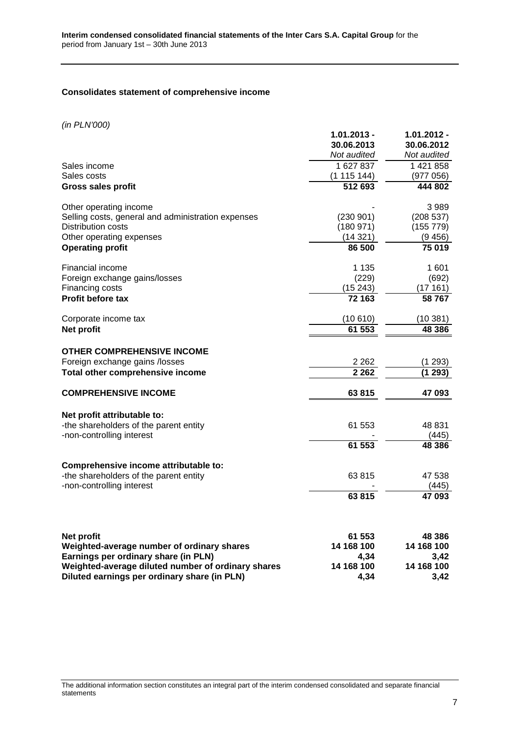## **Consolidates statement of comprehensive income**

(in PLN'000)

| (III FLIV UUU)                                     | $1.01.2013 -$<br>30.06.2013<br>Not audited | $1.01.2012 -$<br>30.06.2012<br>Not audited |
|----------------------------------------------------|--------------------------------------------|--------------------------------------------|
| Sales income                                       | 1 627 837                                  | 1 421 858                                  |
| Sales costs                                        | (1115144)                                  | (977 056)                                  |
| <b>Gross sales profit</b>                          | 512 693                                    | 444 802                                    |
| Other operating income                             |                                            | 3989                                       |
| Selling costs, general and administration expenses | (230901)                                   | (208537)                                   |
| <b>Distribution costs</b>                          | (180971)                                   | (155 779)                                  |
| Other operating expenses                           | (14321)                                    | (9456)                                     |
| <b>Operating profit</b>                            | 86 500                                     | 75 019                                     |
| Financial income                                   | 1 1 3 5                                    | 1601                                       |
| Foreign exchange gains/losses                      | (229)                                      | (692)                                      |
| Financing costs                                    | (15243)                                    | (17161)                                    |
| <b>Profit before tax</b>                           | 72 163                                     | 58767                                      |
| Corporate income tax                               | (10610)                                    | (10381)                                    |
| Net profit                                         | 61 553                                     | 48 386                                     |
| <b>OTHER COMPREHENSIVE INCOME</b>                  |                                            |                                            |
| Foreign exchange gains /losses                     | 2 2 6 2                                    | (1 293)                                    |
| Total other comprehensive income                   | 2 2 6 2                                    | (1293)                                     |
| <b>COMPREHENSIVE INCOME</b>                        | 63815                                      | 47 093                                     |
| Net profit attributable to:                        |                                            |                                            |
| -the shareholders of the parent entity             | 61 553                                     | 48 831                                     |
| -non-controlling interest                          |                                            | (445)                                      |
|                                                    | 61 553                                     | 48 386                                     |
| Comprehensive income attributable to:              |                                            |                                            |
| -the shareholders of the parent entity             | 63815                                      | 47 538                                     |
| -non-controlling interest                          |                                            | (445)                                      |
|                                                    | 63815                                      | 47 093                                     |
|                                                    |                                            |                                            |
| Net profit                                         | 61 553                                     | 48 386                                     |
| Weighted-average number of ordinary shares         | 14 168 100                                 | 14 168 100                                 |
| Earnings per ordinary share (in PLN)               | 4,34                                       | 3,42                                       |
| Weighted-average diluted number of ordinary shares | 14 168 100                                 | 14 168 100                                 |
| Diluted earnings per ordinary share (in PLN)       | 4.34                                       | 3.42                                       |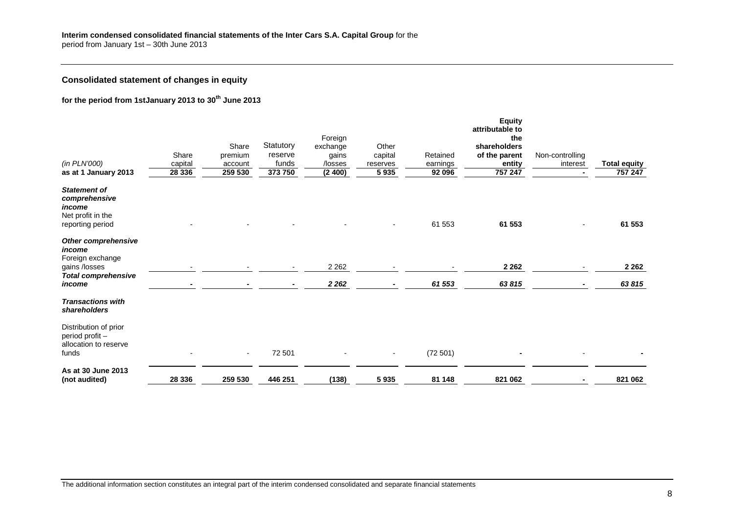# **Consolidated statement of changes in equity**

# **for the period from 1stJanuary 2013 to 30th June 2013**

|                                                                   |         |         |           |          |                |          | <b>Equity</b><br>attributable to |                 |                     |
|-------------------------------------------------------------------|---------|---------|-----------|----------|----------------|----------|----------------------------------|-----------------|---------------------|
|                                                                   |         |         |           | Foreign  |                |          | the                              |                 |                     |
|                                                                   |         | Share   | Statutory | exchange | Other          |          | shareholders                     |                 |                     |
|                                                                   | Share   | premium | reserve   | gains    | capital        | Retained | of the parent                    | Non-controlling |                     |
| (in PLN'000)                                                      | capital | account | funds     | /losses  | reserves       | earnings | entity                           | interest        | <b>Total equity</b> |
| as at 1 January 2013                                              | 28 336  | 259 530 | 373 750   | (2400)   | 5 9 3 5        | 92 096   | 757 247                          |                 | 757 247             |
| <b>Statement of</b><br>comprehensive<br>income                    |         |         |           |          |                |          |                                  |                 |                     |
| Net profit in the                                                 |         |         |           |          |                |          |                                  |                 |                     |
| reporting period                                                  |         |         |           |          |                | 61 553   | 61 553                           |                 | 61 553              |
| Other comprehensive<br>income<br>Foreign exchange                 |         |         |           |          |                |          |                                  |                 |                     |
| gains /losses                                                     |         |         |           | 2 2 6 2  |                |          | 2 2 6 2                          |                 | 2 2 6 2             |
| <b>Total comprehensive</b>                                        |         |         |           |          |                |          |                                  |                 |                     |
| income                                                            |         |         |           | 2 2 6 2  |                | 61 553   | 63815                            |                 | 63815               |
| <b>Transactions with</b><br>shareholders                          |         |         |           |          |                |          |                                  |                 |                     |
| Distribution of prior<br>period profit -<br>allocation to reserve |         |         |           |          |                |          |                                  |                 |                     |
| funds                                                             |         | $\sim$  | 72 501    |          | $\blacksquare$ | (72501)  |                                  |                 |                     |
| As at 30 June 2013<br>(not audited)                               | 28 336  | 259 530 | 446 251   | (138)    | 5935           | 81 148   | 821 062                          |                 | 821 062             |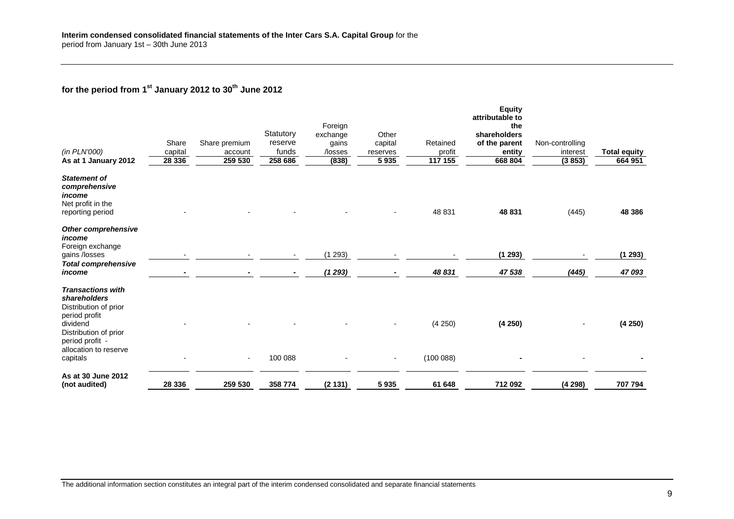# **for the period from 1st January 2012 to 30th June 2012**

| (in PLN'000)<br>As at 1 January 2012                                                    | Share<br>capital<br>28 336 | Share premium<br>account<br>259 530 | Statutory<br>reserve<br>funds<br>258 686 | Foreign<br>exchange<br>gains<br>/losses<br>(838) | Other<br>capital<br>reserves<br>5 9 3 5 | Retained<br>profit<br>117 155 | <b>Equity</b><br>attributable to<br>the<br>shareholders<br>of the parent<br>entity<br>668 804 | Non-controlling<br>interest<br>(3853) | <b>Total equity</b><br>664 951 |
|-----------------------------------------------------------------------------------------|----------------------------|-------------------------------------|------------------------------------------|--------------------------------------------------|-----------------------------------------|-------------------------------|-----------------------------------------------------------------------------------------------|---------------------------------------|--------------------------------|
|                                                                                         |                            |                                     |                                          |                                                  |                                         |                               |                                                                                               |                                       |                                |
| <b>Statement of</b><br>comprehensive<br>income<br>Net profit in the<br>reporting period |                            |                                     |                                          |                                                  |                                         | 48 831                        | 48 831                                                                                        | (445)                                 | 48 386                         |
| Other comprehensive<br>income<br>Foreign exchange                                       |                            |                                     |                                          |                                                  |                                         |                               |                                                                                               |                                       |                                |
| gains /losses                                                                           |                            |                                     |                                          | (1293)                                           |                                         |                               | (1293)                                                                                        |                                       | (1 293)                        |
| <b>Total comprehensive</b><br>income                                                    |                            |                                     |                                          | (1293)                                           |                                         | 48 831                        | 47 538                                                                                        | (445)                                 | 47 093                         |
| <b>Transactions with</b><br>shareholders<br>Distribution of prior<br>period profit      |                            |                                     |                                          |                                                  |                                         |                               |                                                                                               |                                       |                                |
| dividend<br>Distribution of prior<br>period profit -<br>allocation to reserve           |                            |                                     |                                          |                                                  |                                         | (4 250)                       | (4250)                                                                                        |                                       | (4250)                         |
| capitals                                                                                |                            | ٠                                   | 100 088                                  |                                                  |                                         | (100088)                      |                                                                                               |                                       |                                |
| As at 30 June 2012<br>(not audited)                                                     | 28 336                     | 259 530                             | 358 774                                  | (2 131)                                          | 5935                                    | 61 648                        | 712 092                                                                                       | (4298)                                | 707 794                        |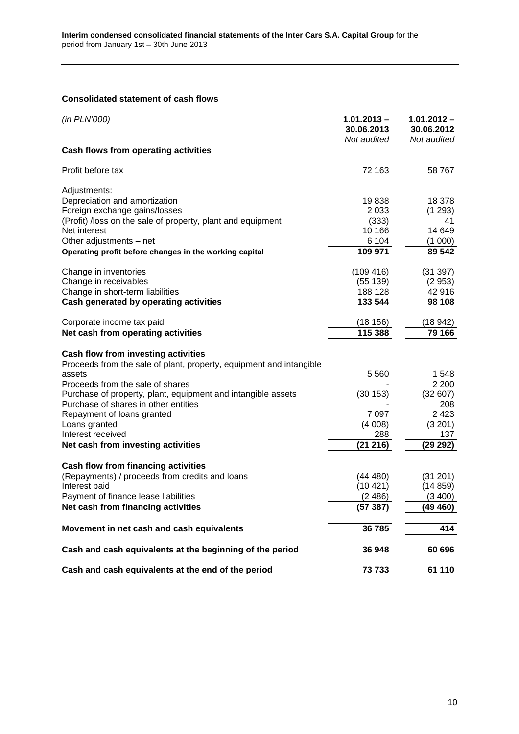# **Consolidated statement of cash flows**

| (in PLN'000)                                                        | $1.01.2013 -$<br>30.06.2013<br>Not audited | $1.01.2012 -$<br>30.06.2012<br>Not audited |
|---------------------------------------------------------------------|--------------------------------------------|--------------------------------------------|
| Cash flows from operating activities                                |                                            |                                            |
| Profit before tax                                                   | 72 163                                     | 58 767                                     |
| Adjustments:                                                        |                                            |                                            |
| Depreciation and amortization                                       | 19838                                      | 18 378                                     |
| Foreign exchange gains/losses                                       | 2 0 3 3                                    | (1 293)                                    |
| (Profit) /loss on the sale of property, plant and equipment         | (333)                                      | 41                                         |
| Net interest                                                        | 10 166                                     | 14 649                                     |
| Other adjustments - net                                             | 6 104                                      | (1 000)                                    |
| Operating profit before changes in the working capital              | 109 971                                    | 89 542                                     |
| Change in inventories                                               | (109 416)                                  | (31 397)                                   |
| Change in receivables                                               | (55139)                                    | (2953)                                     |
| Change in short-term liabilities                                    | 188 128                                    | 42916                                      |
| Cash generated by operating activities                              | 133 544                                    | 98 108                                     |
| Corporate income tax paid                                           | (18156)                                    | (18 942)                                   |
| Net cash from operating activities                                  | 115 388                                    | 79 166                                     |
|                                                                     |                                            |                                            |
| Cash flow from investing activities                                 |                                            |                                            |
| Proceeds from the sale of plant, property, equipment and intangible | 5 5 6 0                                    | 1 548                                      |
| assets<br>Proceeds from the sale of shares                          |                                            | 2 2 0 0                                    |
| Purchase of property, plant, equipment and intangible assets        | (30 153)                                   | (32607)                                    |
| Purchase of shares in other entities                                |                                            | 208                                        |
| Repayment of loans granted                                          | 7 0 9 7                                    | 2 4 2 3                                    |
| Loans granted                                                       | (4008)                                     | (3 201)                                    |
| Interest received                                                   | 288                                        | 137                                        |
| Net cash from investing activities                                  | (21 216)                                   | (29 292)                                   |
|                                                                     |                                            |                                            |
| <b>Cash flow from financing activities</b>                          |                                            |                                            |
| (Repayments) / proceeds from credits and loans                      | (44 480)                                   | (31 201)                                   |
| Interest paid                                                       | (10421)                                    | (14859)                                    |
| Payment of finance lease liabilities                                | (2486)                                     | (3400)                                     |
| Net cash from financing activities                                  | (57387)                                    | (49 460)                                   |
| Movement in net cash and cash equivalents                           | 36785                                      | 414                                        |
|                                                                     |                                            |                                            |
| Cash and cash equivalents at the beginning of the period            | 36 948                                     | 60 696                                     |
| Cash and cash equivalents at the end of the period                  | 73733                                      | 61 110                                     |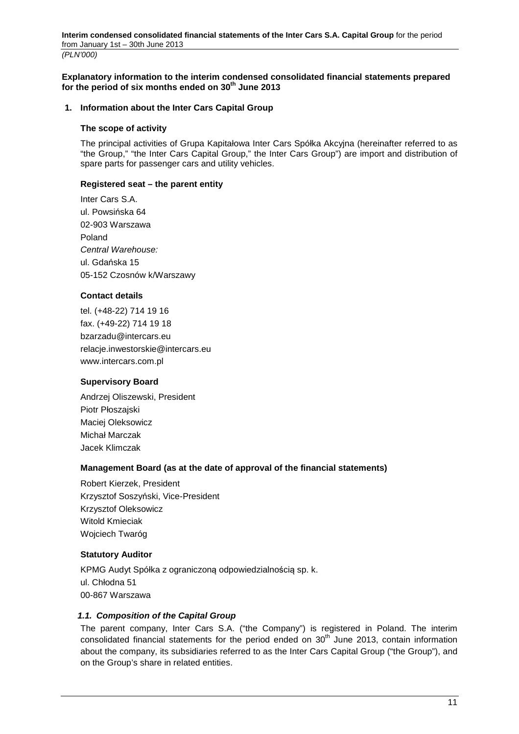### **Explanatory information to the interim condensed consolidated financial statements prepared for the period of six months ended on 30th June 2013**

### **1. Information about the Inter Cars Capital Group**

#### **The scope of activity**

The principal activities of Grupa Kapitałowa Inter Cars Spółka Akcyjna (hereinafter referred to as "the Group," "the Inter Cars Capital Group," the Inter Cars Group") are import and distribution of spare parts for passenger cars and utility vehicles.

### **Registered seat – the parent entity**

Inter Cars S.A. ul. Powsińska 64 02-903 Warszawa Poland Central Warehouse: ul. Gdańska 15 05-152 Czosnów k/Warszawy

## **Contact details**

tel. (+48-22) 714 19 16 fax. (+49-22) 714 19 18 bzarzadu@intercars.eu relacje.inwestorskie@intercars.eu www.intercars.com.pl

## **Supervisory Board**

Andrzej Oliszewski, President Piotr Płoszajski Maciej Oleksowicz Michał Marczak Jacek Klimczak

## **Management Board (as at the date of approval of the financial statements)**

Robert Kierzek, President Krzysztof Soszyński, Vice-President Krzysztof Oleksowicz Witold Kmieciak Wojciech Twaróg

## **Statutory Auditor**

KPMG Audyt Spółka z ograniczoną odpowiedzialnością sp. k. ul. Chłodna 51 00-867 Warszawa

## **1.1. Composition of the Capital Group**

The parent company, Inter Cars S.A. ("the Company") is registered in Poland. The interim consolidated financial statements for the period ended on  $30<sup>th</sup>$  June 2013, contain information about the company, its subsidiaries referred to as the Inter Cars Capital Group ("the Group"), and on the Group's share in related entities.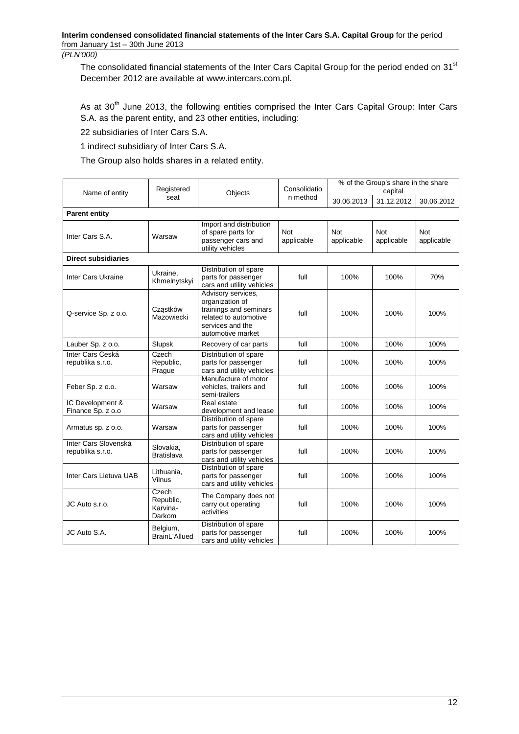The consolidated financial statements of the Inter Cars Capital Group for the period ended on 31<sup>st</sup> December 2012 are available at www.intercars.com.pl.

As at 30<sup>th</sup> June 2013, the following entities comprised the Inter Cars Capital Group: Inter Cars S.A. as the parent entity, and 23 other entities, including:

22 subsidiaries of Inter Cars S.A.

1 indirect subsidiary of Inter Cars S.A.

The Group also holds shares in a related entity.

| Name of entity                           | Registered                               | Objects                                                                                                                           | Consolidatio             | % of the Group's share in the share<br>capital |                          |                          |
|------------------------------------------|------------------------------------------|-----------------------------------------------------------------------------------------------------------------------------------|--------------------------|------------------------------------------------|--------------------------|--------------------------|
|                                          | seat                                     |                                                                                                                                   | n method                 | 30.06.2013                                     | 31.12.2012               | 30.06.2012               |
| <b>Parent entity</b>                     |                                          |                                                                                                                                   |                          |                                                |                          |                          |
| Inter Cars S.A.                          | Warsaw                                   | Import and distribution<br>of spare parts for<br>passenger cars and<br>utility vehicles                                           | <b>Not</b><br>applicable | <b>Not</b><br>applicable                       | <b>Not</b><br>applicable | <b>Not</b><br>applicable |
| <b>Direct subsidiaries</b>               |                                          |                                                                                                                                   |                          |                                                |                          |                          |
| Inter Cars Ukraine                       | Ukraine,<br>Khmelnytskyi                 | Distribution of spare<br>parts for passenger<br>cars and utility vehicles                                                         | full                     | 100%                                           | 100%                     | 70%                      |
| Q-service Sp. z o.o.                     | Czastków<br>Mazowiecki                   | Advisory services,<br>organization of<br>trainings and seminars<br>related to automotive<br>services and the<br>automotive market | full                     | 100%                                           | 100%                     | 100%                     |
| Lauber Sp. z o.o.                        | Słupsk                                   | Recovery of car parts                                                                                                             | full                     | 100%                                           | 100%                     | 100%                     |
| Inter Cars Česká<br>republika s.r.o.     | Czech<br>Republic,<br>Prague             | Distribution of spare<br>parts for passenger<br>cars and utility vehicles                                                         | full                     | 100%                                           | 100%                     | 100%                     |
| Feber Sp. z o.o.                         | Warsaw                                   | Manufacture of motor<br>vehicles, trailers and<br>semi-trailers                                                                   | full                     | 100%                                           | 100%                     | 100%                     |
| IC Development &<br>Finance Sp. z o.o    | Warsaw                                   | Real estate<br>development and lease                                                                                              | full                     | 100%                                           | 100%                     | 100%                     |
| Armatus sp. z o.o.                       | Warsaw                                   | Distribution of spare<br>parts for passenger<br>cars and utility vehicles                                                         | full                     | 100%                                           | 100%                     | 100%                     |
| Inter Cars Slovenská<br>republika s.r.o. | Slovakia,<br><b>Bratislava</b>           | Distribution of spare<br>parts for passenger<br>cars and utility vehicles                                                         | full                     | 100%                                           | 100%                     | 100%                     |
| Inter Cars Lietuva UAB                   | Lithuania,<br>Vilnus                     | Distribution of spare<br>parts for passenger<br>cars and utility vehicles                                                         | full                     | 100%                                           | 100%                     | 100%                     |
| JC Auto s.r.o.                           | Czech<br>Republic,<br>Karvina-<br>Darkom | The Company does not<br>carry out operating<br>activities                                                                         | full                     | 100%                                           | 100%                     | 100%                     |
| JC Auto S.A.                             | Belgium,<br>BrainL'Allued                | Distribution of spare<br>parts for passenger<br>cars and utility vehicles                                                         | full                     | 100%                                           | 100%                     | 100%                     |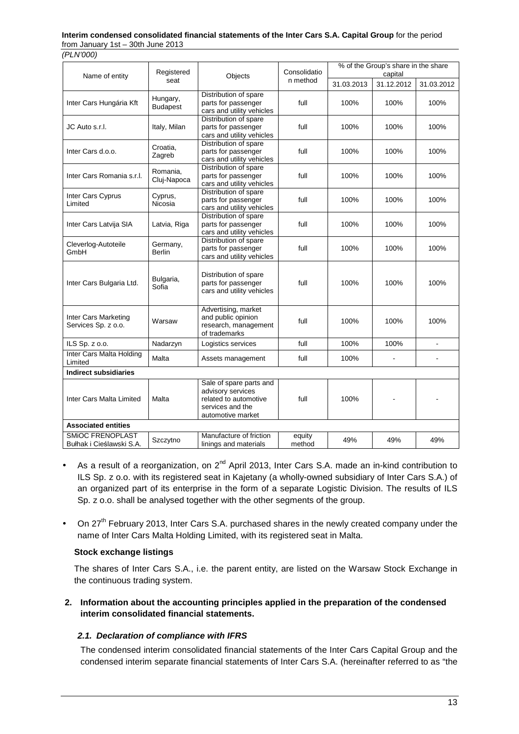#### **Interim condensed consolidated financial statements of the Inter Cars S.A. Capital Group** for the period from January 1st – 30th June 2013

(PLN'000)

|                                              | Registered                  |                                                                                                                | Consolidatio     | % of the Group's share in the share |                       |                |
|----------------------------------------------|-----------------------------|----------------------------------------------------------------------------------------------------------------|------------------|-------------------------------------|-----------------------|----------------|
| Name of entity                               | Objects<br>seat             |                                                                                                                | n method         | 31.03.2013                          | capital<br>31.12.2012 | 31.03.2012     |
| Inter Cars Hungária Kft                      | Hungary,<br><b>Budapest</b> | Distribution of spare<br>parts for passenger<br>cars and utility vehicles                                      | full             | 100%                                | 100%                  | 100%           |
| JC Auto s.r.l.                               | Italy, Milan                | Distribution of spare<br>parts for passenger<br>cars and utility vehicles                                      | full             | 100%                                | 100%                  | 100%           |
| Inter Cars d.o.o.                            | Croatia,<br>Zagreb          | Distribution of spare<br>parts for passenger<br>cars and utility vehicles                                      | full             | 100%                                | 100%                  | 100%           |
| Inter Cars Romania s.r.l.                    | Romania.<br>Cluj-Napoca     | Distribution of spare<br>parts for passenger<br>cars and utility vehicles                                      | full             | 100%                                | 100%                  | 100%           |
| Inter Cars Cyprus<br>Limited                 | Cyprus,<br>Nicosia          | Distribution of spare<br>parts for passenger<br>cars and utility vehicles                                      | full             | 100%                                | 100%                  | 100%           |
| Inter Cars Latvija SIA                       | Latvia, Riga                | Distribution of spare<br>parts for passenger<br>cars and utility vehicles                                      | full             | 100%                                | 100%                  | 100%           |
| Cleverlog-Autoteile<br>GmbH                  | Germany,<br>Berlin          | Distribution of spare<br>parts for passenger<br>cars and utility vehicles                                      | full             | 100%                                | 100%                  | 100%           |
| Inter Cars Bulgaria Ltd.                     | Bulgaria,<br>Sofia          | Distribution of spare<br>parts for passenger<br>cars and utility vehicles                                      | full             | 100%                                | 100%                  | 100%           |
| Inter Cars Marketing<br>Services Sp. z o.o.  | Warsaw                      | Advertising, market<br>and public opinion<br>research, management<br>of trademarks                             | full             | 100%                                | 100%                  | 100%           |
| ILS Sp. z o.o.                               | Nadarzyn                    | Logistics services                                                                                             | full             | 100%                                | 100%                  | $\blacksquare$ |
| Inter Cars Malta Holding<br>Limited          | Malta                       | Assets management                                                                                              | full             | 100%                                |                       |                |
| <b>Indirect subsidiaries</b>                 |                             |                                                                                                                |                  |                                     |                       |                |
| Inter Cars Malta Limited                     | Malta                       | Sale of spare parts and<br>advisory services<br>related to automotive<br>services and the<br>automotive market | full             | 100%                                |                       |                |
| <b>Associated entities</b>                   |                             |                                                                                                                |                  |                                     |                       |                |
| SMIOC FRENOPLAST<br>Bułhak i Cieślawski S.A. | Szczytno                    | Manufacture of friction<br>linings and materials                                                               | equity<br>method | 49%                                 | 49%                   | 49%            |

- As a result of a reorganization, on  $2^{nd}$  April 2013, Inter Cars S.A. made an in-kind contribution to ILS Sp. z o.o. with its registered seat in Kajetany (a wholly-owned subsidiary of Inter Cars S.A.) of an organized part of its enterprise in the form of a separate Logistic Division. The results of ILS Sp. z o.o. shall be analysed together with the other segments of the group.
- On 27<sup>th</sup> February 2013, Inter Cars S.A. purchased shares in the newly created company under the name of Inter Cars Malta Holding Limited, with its registered seat in Malta.

# **Stock exchange listings**

The shares of Inter Cars S.A., i.e. the parent entity, are listed on the Warsaw Stock Exchange in the continuous trading system.

**2. Information about the accounting principles applied in the preparation of the condensed interim consolidated financial statements.** 

# **2.1. Declaration of compliance with IFRS**

The condensed interim consolidated financial statements of the Inter Cars Capital Group and the condensed interim separate financial statements of Inter Cars S.A. (hereinafter referred to as "the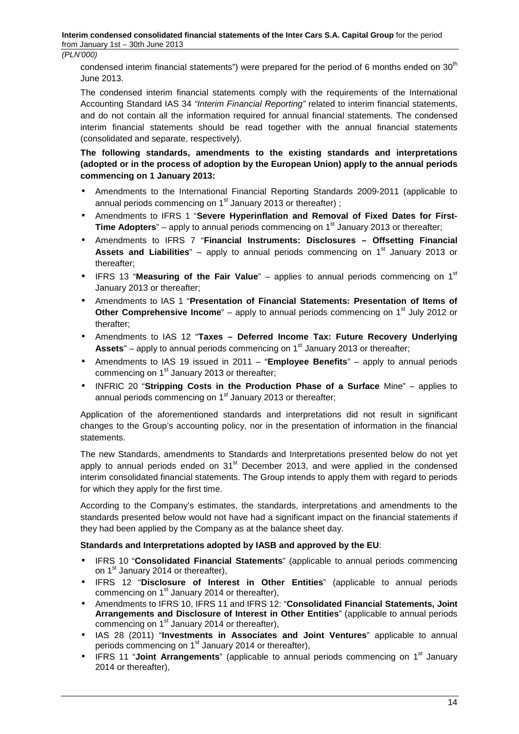**Interim condensed consolidated financial statements of the Inter Cars S.A. Capital Group** for the period from January 1st – 30th June 2013

(PLN'000)

condensed interim financial statements") were prepared for the period of 6 months ended on  $30<sup>th</sup>$ June 2013.

The condensed interim financial statements comply with the requirements of the International Accounting Standard IAS 34 "Interim Financial Reporting" related to interim financial statements, and do not contain all the information required for annual financial statements. The condensed interim financial statements should be read together with the annual financial statements (consolidated and separate, respectively).

**The following standards, amendments to the existing standards and interpretations (adopted or in the process of adoption by the European Union) apply to the annual periods commencing on 1 January 2013:** 

- Amendments to the International Financial Reporting Standards 2009-2011 (applicable to annual periods commencing on  $1<sup>st</sup>$  January 2013 or thereafter) :
- Amendments to IFRS 1 "**Severe Hyperinflation and Removal of Fixed Dates for First-Time Adopters**" – apply to annual periods commencing on 1<sup>st</sup> January 2013 or thereafter;
- Amendments to IFRS 7 "**Financial Instruments: Disclosures Offsetting Financial Assets and Liabilities**" – apply to annual periods commencing on 1<sup>st</sup> January 2013 or thereafter;
- IFRS 13 "Measuring of the Fair Value" applies to annual periods commencing on 1<sup>st</sup> January 2013 or thereafter;
- Amendments to IAS 1 "**Presentation of Financial Statements: Presentation of Items of Other Comprehensive Income**" – apply to annual periods commencing on 1<sup>st</sup> July 2012 or therafter;
- Amendments to IAS 12 "**Taxes Deferred Income Tax: Future Recovery Underlying**  Assets<sup>"</sup> – apply to annual periods commencing on 1<sup>st</sup> January 2013 or thereafter;
- Amendments to IAS 19 issued in 2011 "**Employee Benefits**" apply to annual periods commencing on 1<sup>st</sup> January 2013 or thereafter;
- INFRIC 20 "**Stripping Costs in the Production Phase of a Surface** Mine" applies to annual periods commencing on  $1<sup>st</sup>$  January 2013 or thereafter;

Application of the aforementioned standards and interpretations did not result in significant changes to the Group's accounting policy, nor in the presentation of information in the financial statements.

The new Standards, amendments to Standards and Interpretations presented below do not yet apply to annual periods ended on  $31<sup>st</sup>$  December 2013, and were applied in the condensed interim consolidated financial statements. The Group intends to apply them with regard to periods for which they apply for the first time.

According to the Company's estimates, the standards, interpretations and amendments to the standards presented below would not have had a significant impact on the financial statements if they had been applied by the Company as at the balance sheet day.

## **Standards and Interpretations adopted by IASB and approved by the EU**:

- IFRS 10 "**Consolidated Financial Statements**" (applicable to annual periods commencing on 1<sup>st</sup> January 2014 or thereafter),
- IFRS 12 "**Disclosure of Interest in Other Entities**" (applicable to annual periods commencing on  $1<sup>st</sup>$  January 2014 or thereafter),
- Amendments to IFRS 10, IFRS 11 and IFRS 12: "**Consolidated Financial Statements, Joint Arrangements and Disclosure of Interest in Other Entities**" (applicable to annual periods commencing on  $1<sup>st</sup>$  January 2014 or thereafter),
- IAS 28 (2011) "**Investments in Associates and Joint Ventures**" applicable to annual periods commencing on  $1<sup>st</sup>$  January 2014 or thereafter).
- IFRS 11 "Joint Arrangements" (applicable to annual periods commencing on 1<sup>st</sup> January 2014 or thereafter),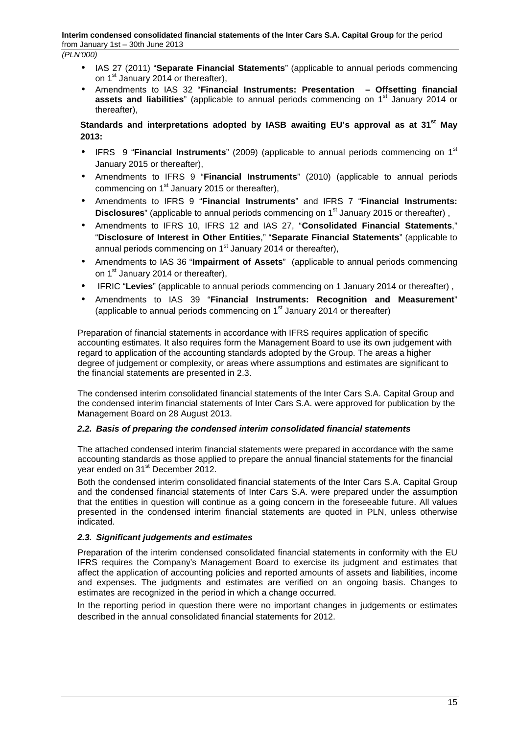- IAS 27 (2011) "**Separate Financial Statements**" (applicable to annual periods commencing on 1<sup>st</sup> January 2014 or thereafter),
- Amendments to IAS 32 "**Financial Instruments: Presentation Offsetting financial assets and liabilities**" (applicable to annual periods commencing on 1<sup>st</sup> January 2014 or thereafter),

# **Standards and interpretations adopted by IASB awaiting EU's approval as at 31st May 2013:**

- IFRS 9 "**Financial Instruments**" (2009) (applicable to annual periods commencing on 1<sup>st</sup> January 2015 or thereafter),
- Amendments to IFRS 9 "**Financial Instruments**" (2010) (applicable to annual periods commencing on  $1<sup>st</sup>$  January 2015 or thereafter).
- Amendments to IFRS 9 "**Financial Instruments**" and IFRS 7 "**Financial Instruments: Disclosures**" (applicable to annual periods commencing on 1<sup>st</sup> January 2015 or thereafter),
- Amendments to IFRS 10, IFRS 12 and IAS 27, "**Consolidated Financial Statements**," "**Disclosure of Interest in Other Entities**," "**Separate Financial Statements**" (applicable to annual periods commencing on  $1<sup>st</sup>$  January 2014 or thereafter),
- Amendments to IAS 36 "**Impairment of Assets**" (applicable to annual periods commencing on 1<sup>st</sup> January 2014 or thereafter).
- IFRIC "**Levies**" (applicable to annual periods commencing on 1 January 2014 or thereafter) ,
- Amendments to IAS 39 "**Financial Instruments: Recognition and Measurement**" (applicable to annual periods commencing on  $1<sup>st</sup>$  January 2014 or thereafter)

Preparation of financial statements in accordance with IFRS requires application of specific accounting estimates. It also requires form the Management Board to use its own judgement with regard to application of the accounting standards adopted by the Group. The areas a higher degree of judgement or complexity, or areas where assumptions and estimates are significant to the financial statements are presented in 2.3.

The condensed interim consolidated financial statements of the Inter Cars S.A. Capital Group and the condensed interim financial statements of Inter Cars S.A. were approved for publication by the Management Board on 28 August 2013.

# **2.2. Basis of preparing the condensed interim consolidated financial statements**

The attached condensed interim financial statements were prepared in accordance with the same accounting standards as those applied to prepare the annual financial statements for the financial year ended on 31<sup>st</sup> December 2012.

Both the condensed interim consolidated financial statements of the Inter Cars S.A. Capital Group and the condensed financial statements of Inter Cars S.A. were prepared under the assumption that the entities in question will continue as a going concern in the foreseeable future. All values presented in the condensed interim financial statements are quoted in PLN, unless otherwise indicated.

# **2.3. Significant judgements and estimates**

Preparation of the interim condensed consolidated financial statements in conformity with the EU IFRS requires the Company's Management Board to exercise its judgment and estimates that affect the application of accounting policies and reported amounts of assets and liabilities, income and expenses. The judgments and estimates are verified on an ongoing basis. Changes to estimates are recognized in the period in which a change occurred.

In the reporting period in question there were no important changes in judgements or estimates described in the annual consolidated financial statements for 2012.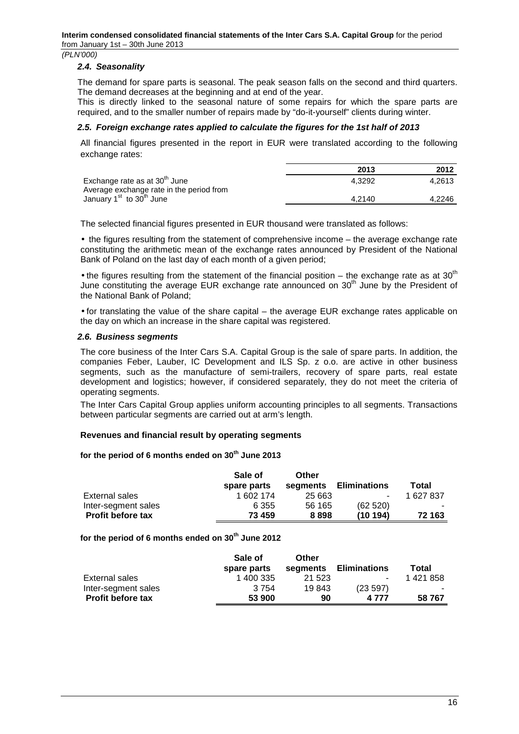### **2.4. Seasonality**

The demand for spare parts is seasonal. The peak season falls on the second and third quarters. The demand decreases at the beginning and at end of the year.

This is directly linked to the seasonal nature of some repairs for which the spare parts are required, and to the smaller number of repairs made by "do-it-yourself" clients during winter.

## **2.5. Foreign exchange rates applied to calculate the figures for the 1st half of 2013**

All financial figures presented in the report in EUR were translated according to the following exchange rates:

|                                                                                       | 2013   | 2012   |
|---------------------------------------------------------------------------------------|--------|--------|
| Exchange rate as at 30 <sup>th</sup> June<br>Average exchange rate in the period from | 4.3292 | 4.2613 |
| January 1 <sup>st</sup> to 30 <sup>th</sup> June                                      | 4.2140 | 4.2246 |

The selected financial figures presented in EUR thousand were translated as follows:

• the figures resulting from the statement of comprehensive income – the average exchange rate constituting the arithmetic mean of the exchange rates announced by President of the National Bank of Poland on the last day of each month of a given period;

• the figures resulting from the statement of the financial position – the exchange rate as at 30<sup>th</sup> June constituting the average EUR exchange rate announced on  $30<sup>th</sup>$  June by the President of the National Bank of Poland;

• for translating the value of the share capital – the average EUR exchange rates applicable on the day on which an increase in the share capital was registered.

#### **2.6. Business segments**

The core business of the Inter Cars S.A. Capital Group is the sale of spare parts. In addition, the companies Feber, Lauber, IC Development and ILS Sp. z o.o. are active in other business segments, such as the manufacture of semi-trailers, recovery of spare parts, real estate development and logistics; however, if considered separately, they do not meet the criteria of operating segments.

The Inter Cars Capital Group applies uniform accounting principles to all segments. Transactions between particular segments are carried out at arm's length.

## **Revenues and financial result by operating segments**

#### **for the period of 6 months ended on 30th June 2013**

|                          | Sale of     | Other    |                          |         |
|--------------------------|-------------|----------|--------------------------|---------|
|                          | spare parts | segments | <b>Eliminations</b>      | Total   |
| External sales           | 1 602 174   | 25 663   | $\overline{\phantom{a}}$ | 1627837 |
| Inter-segment sales      | 6 3 5 5     | 56 165   | (62520)                  |         |
| <b>Profit before tax</b> | 73 459      | 8898     | (10 194)                 | 72 163  |

**for the period of 6 months ended on 30th June 2012** 

|                          | Sale of<br>spare parts | Other<br>segments | <b>Eliminations</b> | Total   |
|--------------------------|------------------------|-------------------|---------------------|---------|
| External sales           | 1 400 335              | 21 5 23           | $\sim$              | 1421858 |
| Inter-segment sales      | 3754                   | 19843             | (23 597)            |         |
| <b>Profit before tax</b> | 53 900                 | 90                | 4 777               | 58767   |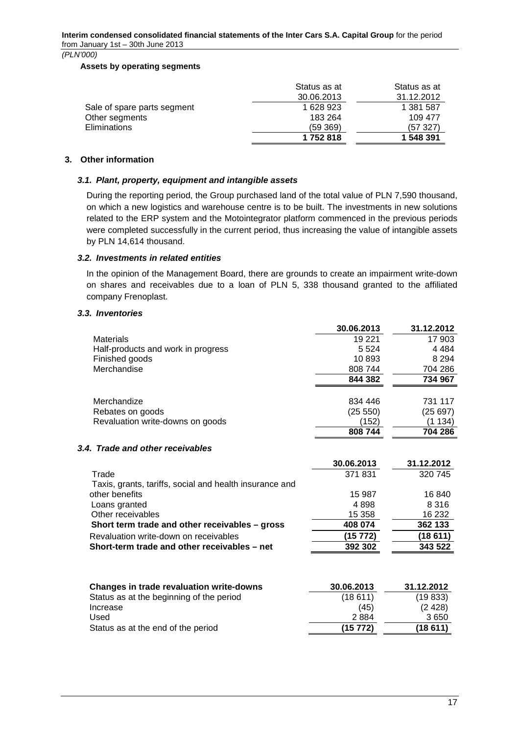#### **Assets by operating segments**

|                             | Status as at | Status as at |
|-----------------------------|--------------|--------------|
|                             | 30.06.2013   | 31.12.2012   |
| Sale of spare parts segment | 1 628 923    | 1 381 587    |
| Other segments              | 183 264      | 109 477      |
| Eliminations                | (59 369)     | (57 327)     |
|                             | 1752818      | 1 548 391    |

# **3. Other information**

# **3.1. Plant, property, equipment and intangible assets**

During the reporting period, the Group purchased land of the total value of PLN 7,590 thousand, on which a new logistics and warehouse centre is to be built. The investments in new solutions related to the ERP system and the Motointegrator platform commenced in the previous periods were completed successfully in the current period, thus increasing the value of intangible assets by PLN 14,614 thousand.

# **3.2. Investments in related entities**

In the opinion of the Management Board, there are grounds to create an impairment write-down on shares and receivables due to a loan of PLN 5, 338 thousand granted to the affiliated company Frenoplast.

# **3.3. Inventories**

|                                    | 30.06.2013 | 31.12.2012 |
|------------------------------------|------------|------------|
| <b>Materials</b>                   | 19 2 21    | 17 903     |
| Half-products and work in progress | 5 5 2 4    | 4 4 8 4    |
| Finished goods                     | 10893      | 8 2 9 4    |
| Merchandise                        | 808 744    | 704 286    |
|                                    | 844 382    | 734 967    |
|                                    |            |            |
| Merchandize                        | 834 446    | 731 117    |
| Rebates on goods                   | (25 550)   | (25 697)   |
| Revaluation write-downs on goods   | (152)      | (1 134)    |
|                                    | 808744     | 704 286    |

# **3.4. Trade and other receivables**

|                                                         | 30.06.2013 | 31.12.2012 |
|---------------------------------------------------------|------------|------------|
| Trade                                                   | 371831     | 320 745    |
| Taxis, grants, tariffs, social and health insurance and |            |            |
| other benefits                                          | 15 987     | 16840      |
| Loans granted                                           | 4898       | 8 3 1 6    |
| Other receivables                                       | 15 3 58    | 16 232     |
| Short term trade and other receivables - gross          | 408 074    | 362 133    |
| Revaluation write-down on receivables                   | (15772)    | (18611)    |
| Short-term trade and other receivables - net            | 392 302    | 343 522    |
|                                                         |            |            |

| Changes in trade revaluation write-downs | 30.06.2013 | 31.12.2012 |
|------------------------------------------|------------|------------|
| Status as at the beginning of the period | (18611)    | (19833)    |
| Increase                                 | (45)       | (2428)     |
| Used                                     | 2884       | 3650       |
| Status as at the end of the period       | (15772)    | (18 611)   |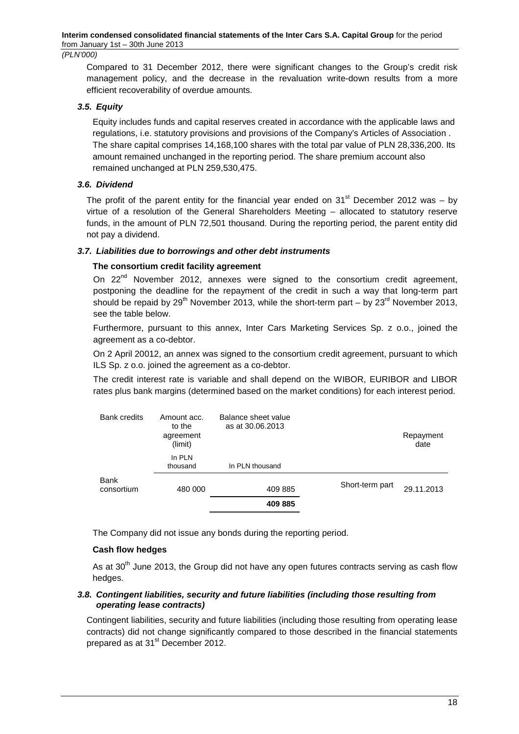Compared to 31 December 2012, there were significant changes to the Group's credit risk management policy, and the decrease in the revaluation write-down results from a more efficient recoverability of overdue amounts.

# **3.5. Equity**

Equity includes funds and capital reserves created in accordance with the applicable laws and regulations, i.e. statutory provisions and provisions of the Company's Articles of Association . The share capital comprises 14,168,100 shares with the total par value of PLN 28,336,200. Its amount remained unchanged in the reporting period. The share premium account also remained unchanged at PLN 259,530,475.

# **3.6. Dividend**

The profit of the parent entity for the financial year ended on  $31<sup>st</sup>$  December 2012 was – by virtue of a resolution of the General Shareholders Meeting – allocated to statutory reserve funds, in the amount of PLN 72,501 thousand. During the reporting period, the parent entity did not pay a dividend.

# **3.7. Liabilities due to borrowings and other debt instruments**

# **The consortium credit facility agreement**

On 22<sup>nd</sup> November 2012, annexes were signed to the consortium credit agreement, postponing the deadline for the repayment of the credit in such a way that long-term part should be repaid by 29<sup>th</sup> November 2013, while the short-term part – by  $23^{\text{rd}}$  November 2013, see the table below.

Furthermore, pursuant to this annex, Inter Cars Marketing Services Sp. z o.o., joined the agreement as a co-debtor.

On 2 April 20012, an annex was signed to the consortium credit agreement, pursuant to which ILS Sp. z o.o. joined the agreement as a co-debtor.

The credit interest rate is variable and shall depend on the WIBOR, EURIBOR and LIBOR rates plus bank margins (determined based on the market conditions) for each interest period.

| <b>Bank credits</b>       | Amount acc.<br>to the<br>agreement<br>(limit) | Balance sheet value<br>as at 30.06.2013 |                 | Repayment<br>date |
|---------------------------|-----------------------------------------------|-----------------------------------------|-----------------|-------------------|
|                           | In PLN<br>thousand                            | In PLN thousand                         |                 |                   |
| <b>Bank</b><br>consortium | 480 000                                       | 409 885                                 | Short-term part | 29.11.2013        |
|                           |                                               | 409 885                                 |                 |                   |

The Company did not issue any bonds during the reporting period.

## **Cash flow hedges**

As at  $30<sup>th</sup>$  June 2013, the Group did not have any open futures contracts serving as cash flow hedges.

## **3.8. Contingent liabilities, security and future liabilities (including those resulting from operating lease contracts)**

Contingent liabilities, security and future liabilities (including those resulting from operating lease contracts) did not change significantly compared to those described in the financial statements prepared as at 31<sup>st</sup> December 2012.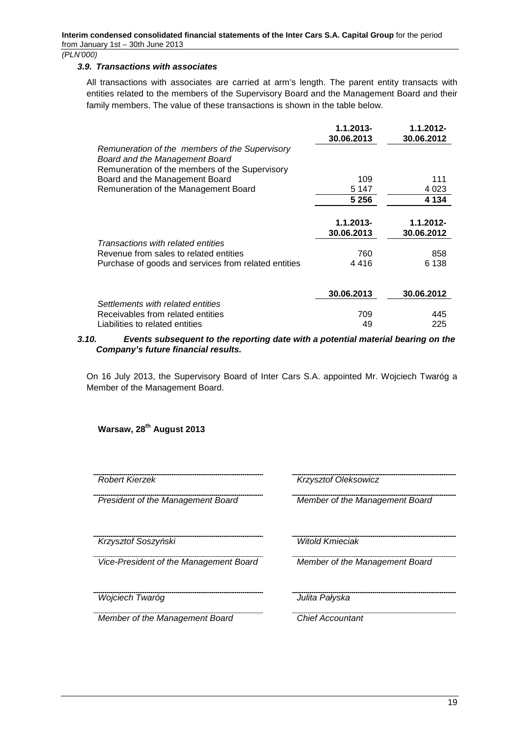#### **3.9. Transactions with associates**

All transactions with associates are carried at arm's length. The parent entity transacts with entities related to the members of the Supervisory Board and the Management Board and their family members. The value of these transactions is shown in the table below.

|                                                                                                                                    | $1.1.2013 -$<br>30.06.2013 | $1.1.2012 -$<br>30.06.2012 |
|------------------------------------------------------------------------------------------------------------------------------------|----------------------------|----------------------------|
| Remuneration of the members of the Supervisory<br>Board and the Management Board<br>Remuneration of the members of the Supervisory |                            |                            |
| Board and the Management Board                                                                                                     | 109                        | 111                        |
| Remuneration of the Management Board                                                                                               | 5 1 4 7                    | 4 0 2 3                    |
|                                                                                                                                    | 5 2 5 6                    | 4 1 3 4                    |
|                                                                                                                                    | $1.1.2013 -$<br>30.06.2013 | $1.1.2012 -$<br>30.06.2012 |
| Transactions with related entities                                                                                                 |                            |                            |
| Revenue from sales to related entities                                                                                             | 760                        | 858                        |
| Purchase of goods and services from related entities                                                                               | 4416                       | 6 138                      |
|                                                                                                                                    | 30.06.2013                 | 30.06.2012                 |
| Settlements with related entities                                                                                                  |                            |                            |
| Receivables from related entities                                                                                                  | 709                        | 445                        |
| Liabilities to related entities                                                                                                    | 49                         | 225                        |

#### **3.10. Events subsequent to the reporting date with a potential material bearing on the Company's future financial results.**

On 16 July 2013, the Supervisory Board of Inter Cars S.A. appointed Mr. Wojciech Twaróg a Member of the Management Board.

**Warsaw, 28th August 2013** 

President of the Management Board Member of the Management Board

Krzysztof Soszy*ń*ski Witold Kmieciak

Vice-President of the Management Board Member of the Management Board

<u>wojciech Twaróg american metallicznego do startiera informational de Julita Pałyska</u>

**Member of the Management Board Chief Accountant** 

Robert Kierzek Krzysztof Oleksowicz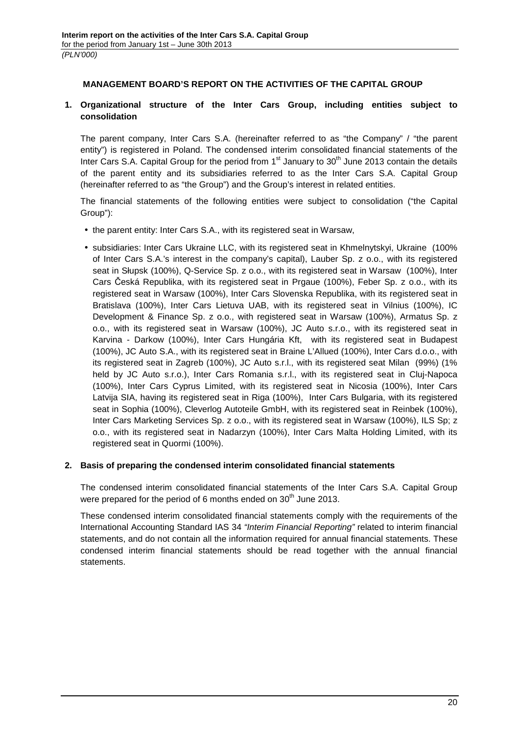# **MANAGEMENT BOARD'S REPORT ON THE ACTIVITIES OF THE CAPITAL GROUP**

# **1. Organizational structure of the Inter Cars Group, including entities subject to consolidation**

The parent company, Inter Cars S.A. (hereinafter referred to as "the Company" / "the parent entity") is registered in Poland. The condensed interim consolidated financial statements of the Inter Cars S.A. Capital Group for the period from 1<sup>st</sup> January to 30<sup>th</sup> June 2013 contain the details of the parent entity and its subsidiaries referred to as the Inter Cars S.A. Capital Group (hereinafter referred to as "the Group") and the Group's interest in related entities.

The financial statements of the following entities were subject to consolidation ("the Capital Group"):

- the parent entity: Inter Cars S.A., with its registered seat in Warsaw,
- subsidiaries: Inter Cars Ukraine LLC, with its registered seat in Khmelnytskyi, Ukraine (100% of Inter Cars S.A.'s interest in the company's capital), Lauber Sp. z o.o., with its registered seat in Słupsk (100%), Q-Service Sp. z o.o., with its registered seat in Warsaw (100%), Inter Cars Česká Republika, with its registered seat in Prgaue (100%), Feber Sp. z o.o., with its registered seat in Warsaw (100%), Inter Cars Slovenska Republika, with its registered seat in Bratislava (100%), Inter Cars Lietuva UAB, with its registered seat in Vilnius (100%), IC Development & Finance Sp. z o.o., with registered seat in Warsaw (100%), Armatus Sp. z o.o., with its registered seat in Warsaw (100%), JC Auto s.r.o., with its registered seat in Karvina - Darkow (100%), Inter Cars Hungária Kft, with its registered seat in Budapest (100%), JC Auto S.A., with its registered seat in Braine L'Allued (100%), Inter Cars d.o.o., with its registered seat in Zagreb (100%), JC Auto s.r.l., with its registered seat Milan (99%) (1% held by JC Auto s.r.o.), Inter Cars Romania s.r.l., with its registered seat in Cluj-Napoca (100%), Inter Cars Cyprus Limited, with its registered seat in Nicosia (100%), Inter Cars Latvija SIA, having its registered seat in Riga (100%), Inter Cars Bulgaria, with its registered seat in Sophia (100%), Cleverlog Autoteile GmbH, with its registered seat in Reinbek (100%), Inter Cars Marketing Services Sp. z o.o., with its registered seat in Warsaw (100%), ILS Sp; z o.o., with its registered seat in Nadarzyn (100%), Inter Cars Malta Holding Limited, with its registered seat in Quormi (100%).

## **2. Basis of preparing the condensed interim consolidated financial statements**

The condensed interim consolidated financial statements of the Inter Cars S.A. Capital Group were prepared for the period of 6 months ended on  $30<sup>th</sup>$  June 2013.

These condensed interim consolidated financial statements comply with the requirements of the International Accounting Standard IAS 34 "Interim Financial Reporting" related to interim financial statements, and do not contain all the information required for annual financial statements. These condensed interim financial statements should be read together with the annual financial statements.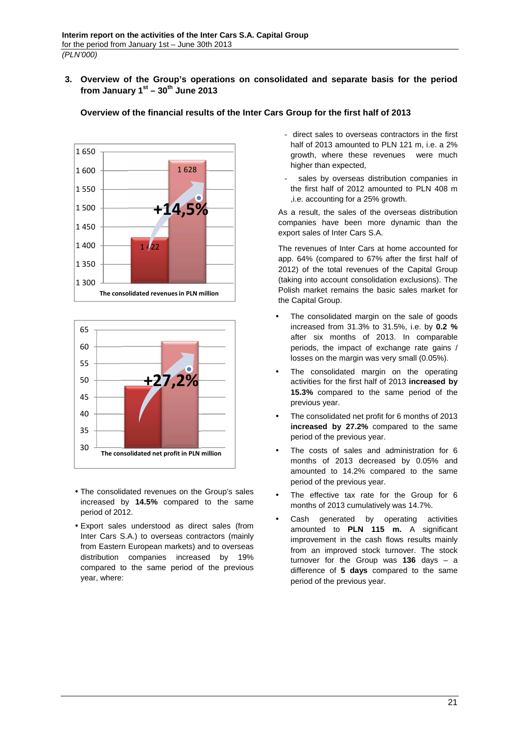**3. Overview of the Group's operations on consolidated and separate basis for the period from January 1st – 30th June 2013** 





- The consolidated revenues on the Group's sales increased by **14.5%** compared to the same period of 2012.
- Export sales understood as direct sales (from Inter Cars S.A.) to overseas contractors (mainly from Eastern European markets) and to overseas distribution companies increased by 19% compared to the same period of the previous year, where:
- direct sales to overseas contractors in the first half of 2013 amounted to PLN 121 m, i.e. a 2% growth, where these revenues were much higher than expected,
- sales by overseas distribution companies in the first half of 2012 amounted to PLN 408 m ,i.e. accounting for a 25% growth.

As a result, the sales of the overseas distribution companies have been more dynamic than the export sales of Inter Cars S.A.

The revenues of Inter Cars at home accounted for app. 64% (compared to 67% after the first half of 2012) of the total revenues of the Capital Group (taking into account consolidation exclusions). The Polish market remains the basic sales market for the Capital Group.

- The consolidated margin on the sale of goods increased from 31.3% to 31.5%, i.e. by **0.2 %**  after six months of 2013. In comparable periods, the impact of exchange rate gains / losses on the margin was very small (0.05%).
- The consolidated margin on the operating activities for the first half of 2013 **increased by 15.3%** compared to the same period of the previous year.
- The consolidated net profit for 6 months of 2013 **increased by 27.2%** compared to the same period of the previous year.
- The costs of sales and administration for 6 months of 2013 decreased by 0.05% and amounted to 14.2% compared to the same period of the previous year.
- The effective tax rate for the Group for 6 months of 2013 cumulatively was 14.7%.
- Cash generated by operating activities amounted to **PLN 115 m.** A significant improvement in the cash flows results mainly from an improved stock turnover. The stock turnover for the Group was **136** days – a difference of **5 days** compared to the same period of the previous year.

# **Overview of the financial results of the Inter Cars Group for the first half of 2013**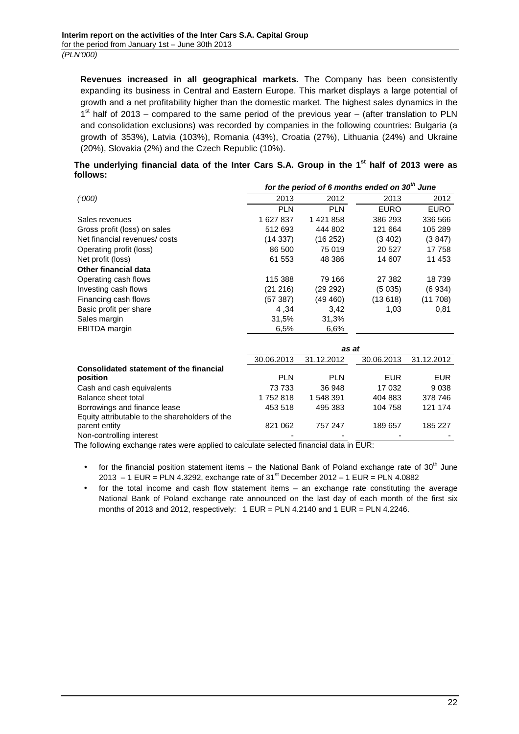**Revenues increased in all geographical markets.** The Company has been consistently expanding its business in Central and Eastern Europe. This market displays a large potential of growth and a net profitability higher than the domestic market. The highest sales dynamics in the  $1<sup>st</sup>$  half of 2013 – compared to the same period of the previous year – (after translation to PLN and consolidation exclusions) was recorded by companies in the following countries: Bulgaria (a growth of 353%), Latvia (103%), Romania (43%), Croatia (27%), Lithuania (24%) and Ukraine (20%), Slovakia (2%) and the Czech Republic (10%).

# **The underlying financial data of the Inter Cars S.A. Group in the 1st half of 2013 were as follows:**

|                                                                 | for the period of 6 months ended on 30 <sup>th</sup> June |            |             |             |
|-----------------------------------------------------------------|-----------------------------------------------------------|------------|-------------|-------------|
| (000)                                                           | 2013                                                      | 2012       | 2013        | 2012        |
|                                                                 | <b>PLN</b>                                                | <b>PLN</b> | <b>EURO</b> | <b>EURO</b> |
| Sales revenues                                                  | 1 627 837                                                 | 1421858    | 386 293     | 336 566     |
| Gross profit (loss) on sales                                    | 512 693                                                   | 444 802    | 121 664     | 105 289     |
| Net financial revenues/costs                                    | (14337)                                                   | (16252)    | (3 402)     | (3847)      |
| Operating profit (loss)                                         | 86 500                                                    | 75 019     | 20 5 27     | 17 758      |
| Net profit (loss)                                               | 61 553                                                    | 48 386     | 14 607      | 11 453      |
| <b>Other financial data</b>                                     |                                                           |            |             |             |
| Operating cash flows                                            | 115 388                                                   | 79 166     | 27 382      | 18739       |
| Investing cash flows                                            | (21 216)                                                  | (29 292)   | (5035)      | (6934)      |
| Financing cash flows                                            | (57 387)                                                  | (49 460)   | (13618)     | (11708)     |
| Basic profit per share                                          | 4,34                                                      | 3,42       | 1,03        | 0,81        |
| Sales margin                                                    | 31,5%                                                     | 31,3%      |             |             |
| <b>EBITDA</b> margin                                            | 6,5%                                                      | 6,6%       |             |             |
|                                                                 |                                                           | as at      |             |             |
|                                                                 | 30.06.2013                                                | 31.12.2012 | 30.06.2013  | 31.12.2012  |
| Consolidated statement of the financial                         |                                                           |            |             |             |
| position                                                        | <b>PLN</b>                                                | <b>PLN</b> | <b>EUR</b>  | <b>EUR</b>  |
| Cash and cash equivalents                                       | 73 733                                                    | 36 948     | 17 032      | 9038        |
| Balance sheet total                                             | 1752818                                                   | 1 548 391  | 404 883     | 378 746     |
| Borrowings and finance lease                                    | 453 518                                                   | 495 383    | 104 758     | 121 174     |
| Equity attributable to the shareholders of the<br>parent entity | 821 062                                                   | 757 247    | 189 657     | 185 227     |
| Non-controlling interest                                        |                                                           |            |             |             |

The following exchange rates were applied to calculate selected financial data in EUR:

- for the financial position statement items the National Bank of Poland exchange rate of  $30<sup>th</sup>$  June 2013 – 1 EUR = PLN 4.3292, exchange rate of  $31^{st}$  December 2012 – 1 EUR = PLN 4.0882
- for the total income and cash flow statement items an exchange rate constituting the average National Bank of Poland exchange rate announced on the last day of each month of the first six months of 2013 and 2012, respectively:  $1$  EUR = PLN 4.2140 and  $1$  EUR = PLN 4.2246.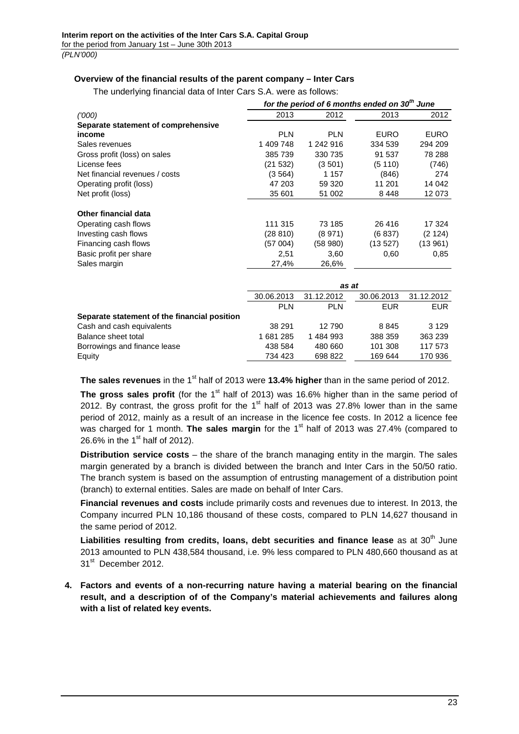## **Overview of the financial results of the parent company – Inter Cars**

The underlying financial data of Inter Cars S.A. were as follows:

|                                              | for the period of 6 months ended on 30 <sup>th</sup> June |            |             |             |
|----------------------------------------------|-----------------------------------------------------------|------------|-------------|-------------|
| (000)                                        | 2013                                                      | 2012       | 2013        | 2012        |
| Separate statement of comprehensive          |                                                           |            |             |             |
| income                                       | <b>PLN</b>                                                | <b>PLN</b> | <b>EURO</b> | <b>EURO</b> |
| Sales revenues                               | 1 409 748                                                 | 1 242 916  | 334 539     | 294 209     |
| Gross profit (loss) on sales                 | 385 739                                                   | 330 735    | 91 537      | 78 288      |
| License fees                                 | (21532)                                                   | (3501)     | (5110)      | (746)       |
| Net financial revenues / costs               | (3564)                                                    | 1 1 5 7    | (846)       | 274         |
| Operating profit (loss)                      | 47 203                                                    | 59 320     | 11 201      | 14 042      |
| Net profit (loss)                            | 35 601                                                    | 51 002     | 8448        | 12 073      |
|                                              |                                                           |            |             |             |
| <b>Other financial data</b>                  |                                                           |            |             |             |
| Operating cash flows                         | 111 315                                                   | 73 185     | 26 416      | 17 324      |
| Investing cash flows                         | (28810)                                                   | (8971)     | (6837)      | (2 124)     |
| Financing cash flows                         | (57 004)                                                  | (58980)    | (13527)     | (13961)     |
| Basic profit per share                       | 2,51                                                      | 3,60       | 0.60        | 0,85        |
| Sales margin                                 | 27,4%                                                     | 26,6%      |             |             |
|                                              |                                                           |            |             |             |
|                                              |                                                           |            | as at       |             |
|                                              | 30.06.2013                                                | 31.12.2012 | 30.06.2013  | 31.12.2012  |
|                                              | <b>PLN</b>                                                | <b>PLN</b> | <b>EUR</b>  | <b>EUR</b>  |
| Separate statement of the financial position |                                                           |            |             |             |
| Cash and cash equivalents                    | 38 291                                                    | 12790      | 8845        | 3 1 2 9     |
| Balance sheet total                          | 1681285                                                   | 1484993    | 388 359     | 363 239     |
| Borrowings and finance lease                 | 438 584                                                   | 480 660    | 101 308     | 117 573     |
| Equity                                       | 734 423                                                   | 698 822    | 169 644     | 170 936     |

The sales revenues in the 1<sup>st</sup> half of 2013 were 13.4% higher than in the same period of 2012.

The gross sales profit (for the 1<sup>st</sup> half of 2013) was 16.6% higher than in the same period of 2012. By contrast, the gross profit for the  $1<sup>st</sup>$  half of 2013 was 27.8% lower than in the same period of 2012, mainly as a result of an increase in the licence fee costs. In 2012 a licence fee was charged for 1 month. **The sales margin** for the 1<sup>st</sup> half of 2013 was 27.4% (compared to 26.6% in the  $1<sup>st</sup>$  half of 2012).

**Distribution service costs** – the share of the branch managing entity in the margin. The sales margin generated by a branch is divided between the branch and Inter Cars in the 50/50 ratio. The branch system is based on the assumption of entrusting management of a distribution point (branch) to external entities. Sales are made on behalf of Inter Cars.

**Financial revenues and costs** include primarily costs and revenues due to interest. In 2013, the Company incurred PLN 10,186 thousand of these costs, compared to PLN 14,627 thousand in the same period of 2012.

Liabilities resulting from credits, loans, debt securities and finance lease as at 30<sup>th</sup> June 2013 amounted to PLN 438,584 thousand, i.e. 9% less compared to PLN 480,660 thousand as at 31<sup>st</sup> December 2012.

**4. Factors and events of a non-recurring nature having a material bearing on the financial result, and a description of of the Company's material achievements and failures along with a list of related key events.**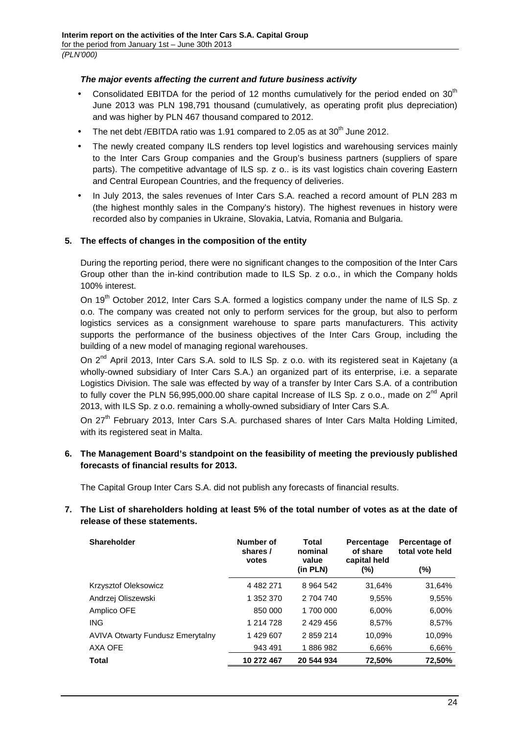# **The major events affecting the current and future business activity**

- Consolidated EBITDA for the period of 12 months cumulatively for the period ended on  $30<sup>th</sup>$ June 2013 was PLN 198,791 thousand (cumulatively, as operating profit plus depreciation) and was higher by PLN 467 thousand compared to 2012.
- The net debt /EBITDA ratio was 1.91 compared to 2.05 as at 30<sup>th</sup> June 2012.
- The newly created company ILS renders top level logistics and warehousing services mainly to the Inter Cars Group companies and the Group's business partners (suppliers of spare parts). The competitive advantage of ILS sp. z o.. is its vast logistics chain covering Eastern and Central European Countries, and the frequency of deliveries.
- In July 2013, the sales revenues of Inter Cars S.A. reached a record amount of PLN 283 m (the highest monthly sales in the Company's history). The highest revenues in history were recorded also by companies in Ukraine, Slovakia, Latvia, Romania and Bulgaria.

# **5. The effects of changes in the composition of the entity**

During the reporting period, there were no significant changes to the composition of the Inter Cars Group other than the in-kind contribution made to ILS Sp. z o.o., in which the Company holds 100% interest.

On 19<sup>th</sup> October 2012, Inter Cars S.A. formed a logistics company under the name of ILS Sp. z o.o. The company was created not only to perform services for the group, but also to perform logistics services as a consignment warehouse to spare parts manufacturers. This activity supports the performance of the business objectives of the Inter Cars Group, including the building of a new model of managing regional warehouses.

On 2<sup>nd</sup> April 2013, Inter Cars S.A. sold to ILS Sp. z o.o. with its registered seat in Kajetany (a wholly-owned subsidiary of Inter Cars S.A.) an organized part of its enterprise, i.e. a separate Logistics Division. The sale was effected by way of a transfer by Inter Cars S.A. of a contribution to fully cover the PLN 56,995,000.00 share capital Increase of ILS Sp. z o.o., made on  $2^{nd}$  April 2013, with ILS Sp. z o.o. remaining a wholly-owned subsidiary of Inter Cars S.A.

On 27<sup>th</sup> February 2013, Inter Cars S.A. purchased shares of Inter Cars Malta Holding Limited, with its registered seat in Malta.

# **6. The Management Board's standpoint on the feasibility of meeting the previously published forecasts of financial results for 2013.**

The Capital Group Inter Cars S.A. did not publish any forecasts of financial results.

# **7. The List of shareholders holding at least 5% of the total number of votes as at the date of release of these statements.**

| <b>Shareholder</b>                      | Number of<br>shares /<br>votes | Total<br>nominal<br>value<br>(in PLN) | Percentage<br>of share<br>capital held<br>$(\% )$ | Percentage of<br>total vote held<br>$(\%)$ |
|-----------------------------------------|--------------------------------|---------------------------------------|---------------------------------------------------|--------------------------------------------|
| Krzysztof Oleksowicz                    | 4 4 8 2 2 7 1                  | 8 9 64 542                            | 31.64%                                            | 31,64%                                     |
| Andrzej Oliszewski                      | 1 352 370                      | 2 704 740                             | 9,55%                                             | 9,55%                                      |
| Amplico OFE                             | 850 000                        | 1 700 000                             | 6.00%                                             | 6,00%                                      |
| <b>ING</b>                              | 1 214 728                      | 2 429 456                             | 8.57%                                             | 8.57%                                      |
| <b>AVIVA Otwarty Fundusz Emerytalny</b> | 1429607                        | 2859214                               | 10.09%                                            | 10.09%                                     |
| AXA OFE                                 | 943 491                        | 1886982                               | 6,66%                                             | 6,66%                                      |
| <b>Total</b>                            | 10 272 467                     | 20 544 934                            | 72.50%                                            | 72,50%                                     |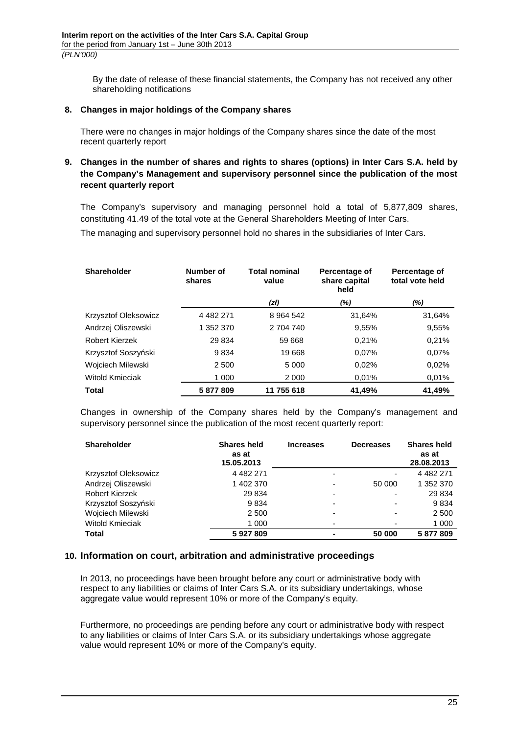By the date of release of these financial statements, the Company has not received any other shareholding notifications

### **8. Changes in major holdings of the Company shares**

There were no changes in major holdings of the Company shares since the date of the most recent quarterly report

# **9. Changes in the number of shares and rights to shares (options) in Inter Cars S.A. held by the Company's Management and supervisory personnel since the publication of the most recent quarterly report**

The Company's supervisory and managing personnel hold a total of 5,877,809 shares, constituting 41.49 of the total vote at the General Shareholders Meeting of Inter Cars.

The managing and supervisory personnel hold no shares in the subsidiaries of Inter Cars.

| <b>Shareholder</b>     | Number of<br>shares | <b>Total nominal</b><br>value | Percentage of<br>share capital<br>held | Percentage of<br>total vote held |
|------------------------|---------------------|-------------------------------|----------------------------------------|----------------------------------|
|                        |                     | (zł)                          | (%)                                    | (%)                              |
| Krzysztof Oleksowicz   | 4 4 8 2 2 7 1       | 8 9 64 5 42                   | 31.64%                                 | 31,64%                           |
| Andrzej Oliszewski     | 1 352 370           | 2 704 740                     | 9,55%                                  | 9,55%                            |
| <b>Robert Kierzek</b>  | 29 834              | 59 668                        | 0,21%                                  | 0,21%                            |
| Krzysztof Soszyński    | 9834                | 19668                         | 0.07%                                  | 0.07%                            |
| Wojciech Milewski      | 2 500               | 5 0 0 0                       | 0.02%                                  | 0.02%                            |
| <b>Witold Kmieciak</b> | 1 0 0 0             | 2 0 0 0                       | 0.01%                                  | 0.01%                            |
| <b>Total</b>           | 5877809             | 11 755 618                    | 41.49%                                 | 41.49%                           |

Changes in ownership of the Company shares held by the Company's management and supervisory personnel since the publication of the most recent quarterly report:

| <b>Shareholder</b>     | <b>Shares held</b><br>as at<br>15.05.2013 | <b>Increases</b> | <b>Decreases</b> | <b>Shares held</b><br>as at<br>28.08.2013 |
|------------------------|-------------------------------------------|------------------|------------------|-------------------------------------------|
| Krzysztof Oleksowicz   | 4 4 8 2 2 7 1                             |                  | ۰                | 4 4 8 2 2 7 1                             |
| Andrzej Oliszewski     | 1 402 370                                 |                  | 50 000           | 1 352 370                                 |
| <b>Robert Kierzek</b>  | 29 834                                    |                  | -                | 29 834                                    |
| Krzysztof Soszyński    | 9834                                      |                  |                  | 9834                                      |
| Wojciech Milewski      | 2 500                                     |                  | ۰                | 2 500                                     |
| <b>Witold Kmieciak</b> | 1 000                                     |                  |                  | 1 000                                     |
| Total                  | 5927809                                   |                  | 50 000           | 5877809                                   |

## **10. Information on court, arbitration and administrative proceedings**

In 2013, no proceedings have been brought before any court or administrative body with respect to any liabilities or claims of Inter Cars S.A. or its subsidiary undertakings, whose aggregate value would represent 10% or more of the Company's equity.

Furthermore, no proceedings are pending before any court or administrative body with respect to any liabilities or claims of Inter Cars S.A. or its subsidiary undertakings whose aggregate value would represent 10% or more of the Company's equity.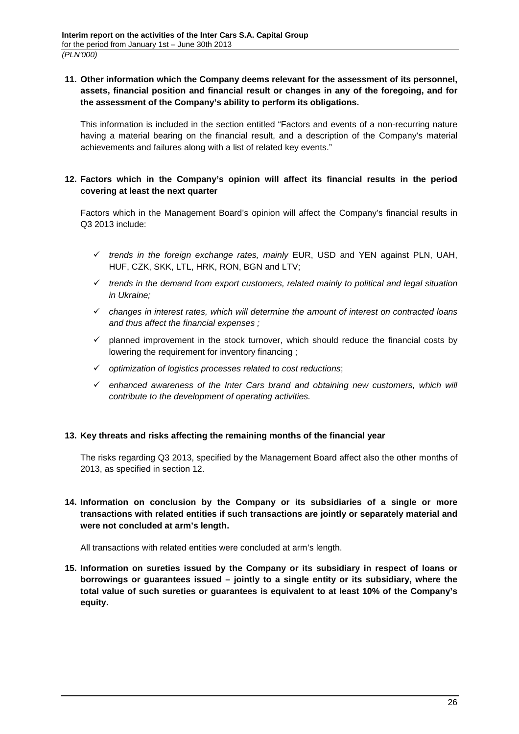# **11. Other information which the Company deems relevant for the assessment of its personnel, assets, financial position and financial result or changes in any of the foregoing, and for the assessment of the Company's ability to perform its obligations.**

This information is included in the section entitled "Factors and events of a non-recurring nature having a material bearing on the financial result, and a description of the Company's material achievements and failures along with a list of related key events."

# **12. Factors which in the Company's opinion will affect its financial results in the period covering at least the next quarter**

Factors which in the Management Board's opinion will affect the Company's financial results in Q3 2013 include:

- $\checkmark$  trends in the foreign exchange rates, mainly EUR, USD and YEN against PLN, UAH, HUF, CZK, SKK, LTL, HRK, RON, BGN and LTV;
- $\checkmark$  trends in the demand from export customers, related mainly to political and legal situation in Ukraine;
- $\checkmark$  changes in interest rates, which will determine the amount of interest on contracted loans and thus affect the financial expenses ;
- $\checkmark$  planned improvement in the stock turnover, which should reduce the financial costs by lowering the requirement for inventory financing ;
- $\checkmark$  optimization of logistics processes related to cost reductions;
- $\checkmark$  enhanced awareness of the Inter Cars brand and obtaining new customers, which will contribute to the development of operating activities.

# **13. Key threats and risks affecting the remaining months of the financial year**

The risks regarding Q3 2013, specified by the Management Board affect also the other months of 2013, as specified in section 12.

**14. Information on conclusion by the Company or its subsidiaries of a single or more transactions with related entities if such transactions are jointly or separately material and were not concluded at arm's length.** 

All transactions with related entities were concluded at arm's length.

**15. Information on sureties issued by the Company or its subsidiary in respect of loans or borrowings or guarantees issued – jointly to a single entity or its subsidiary, where the total value of such sureties or guarantees is equivalent to at least 10% of the Company's equity.**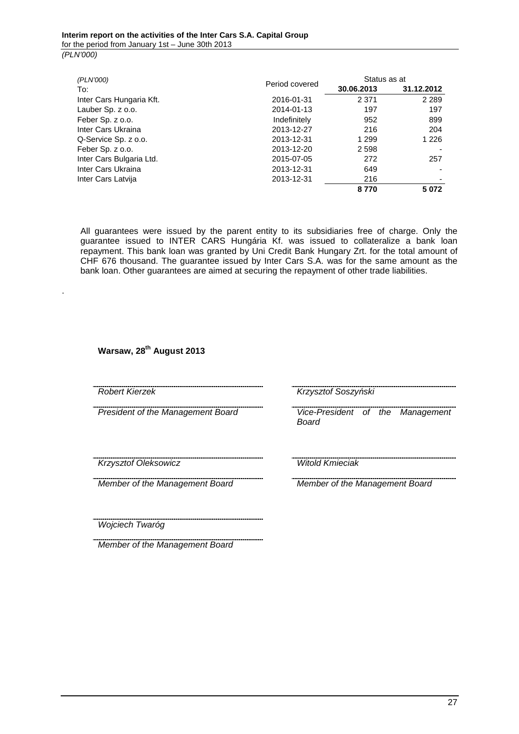| (PLN'000)                |                | Status as at |                          |
|--------------------------|----------------|--------------|--------------------------|
| To:                      | Period covered | 30.06.2013   | 31.12.2012               |
| Inter Cars Hungaria Kft. | 2016-01-31     | 2 3 7 1      | 2 2 8 9                  |
| Lauber Sp. z o.o.        | 2014-01-13     | 197          | 197                      |
| Feber Sp. z o.o.         | Indefinitely   | 952          | 899                      |
| Inter Cars Ukraina       | 2013-12-27     | 216          | 204                      |
| Q-Service Sp. z o.o.     | 2013-12-31     | 1 2 9 9      | 1 2 2 6                  |
| Feber Sp. z o.o.         | 2013-12-20     | 2 5 9 8      |                          |
| Inter Cars Bulgaria Ltd. | 2015-07-05     | 272          | 257                      |
| Inter Cars Ukraina       | 2013-12-31     | 649          | $\overline{\phantom{0}}$ |
| Inter Cars Latvija       | 2013-12-31     | 216          | ٠                        |
|                          |                | 8770         | 5072                     |

All guarantees were issued by the parent entity to its subsidiaries free of charge. Only the guarantee issued to INTER CARS Hungária Kf. was issued to collateralize a bank loan repayment. This bank loan was granted by Uni Credit Bank Hungary Zrt. for the total amount of CHF 676 thousand. The guarantee issued by Inter Cars S.A. was for the same amount as the bank loan. Other guarantees are aimed at securing the repayment of other trade liabilities.

**Warsaw, 28th August 2013** 

.

Robert Kierzek Krzysztof Soszyński

President of the Management Board Vice-President of the Management Board

<u>Krzysztof Oleksowicz</u> Witold Kmieciak

Member of the Management Board Member of the Management Board

Wojciech Twaróg

Member of the Management Board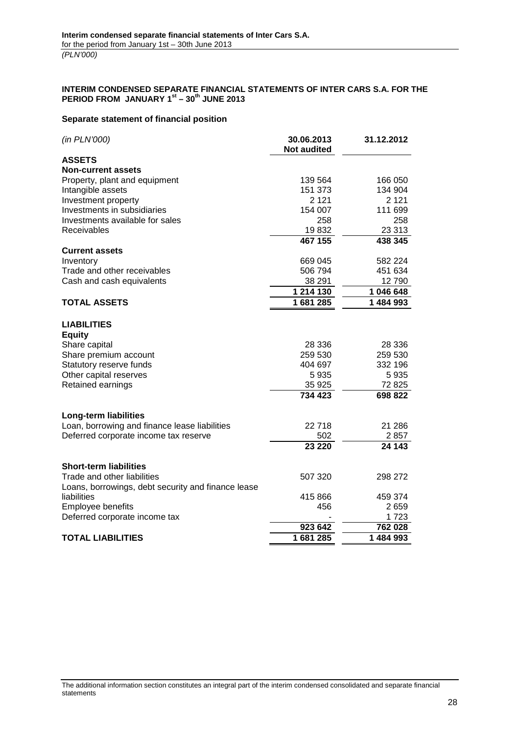#### **INTERIM CONDENSED SEPARATE FINANCIAL STATEMENTS OF INTER CARS S.A. FOR THE PERIOD FROM JANUARY 1st – 30th JUNE 2013**

### **Separate statement of financial position**

| (in PLN'000)                                       | 30.06.2013<br><b>Not audited</b> | 31.12.2012 |
|----------------------------------------------------|----------------------------------|------------|
| <b>ASSETS</b>                                      |                                  |            |
| <b>Non-current assets</b>                          |                                  |            |
| Property, plant and equipment                      | 139 564                          | 166 050    |
| Intangible assets                                  | 151 373                          | 134 904    |
| Investment property                                | 2 1 2 1                          | 2 1 2 1    |
| Investments in subsidiaries                        | 154 007                          | 111 699    |
| Investments available for sales                    | 258                              | 258        |
| Receivables                                        | 19832                            | 23 313     |
|                                                    | 467 155                          | 438 345    |
| <b>Current assets</b>                              |                                  |            |
| Inventory                                          | 669 045                          | 582 224    |
| Trade and other receivables                        | 506 794                          | 451 634    |
| Cash and cash equivalents                          | 38 291                           | 12790      |
|                                                    | 1 214 130                        | 1 046 648  |
| <b>TOTAL ASSETS</b>                                | 1681285                          | 1 484 993  |
| <b>LIABILITIES</b><br><b>Equity</b>                |                                  |            |
| Share capital                                      | 28 336                           | 28 336     |
| Share premium account                              | 259 530                          | 259 530    |
| Statutory reserve funds                            | 404 697                          | 332 196    |
| Other capital reserves                             | 5935                             | 5935       |
| Retained earnings                                  | 35 925                           | 72825      |
|                                                    | 734 423                          | 698 822    |
| <b>Long-term liabilities</b>                       |                                  |            |
| Loan, borrowing and finance lease liabilities      | 22718                            | 21 286     |
| Deferred corporate income tax reserve              | 502                              | 2857       |
|                                                    | 23 2 20                          | 24 143     |
| <b>Short-term liabilities</b>                      |                                  |            |
| Trade and other liabilities                        | 507 320                          | 298 272    |
| Loans, borrowings, debt security and finance lease |                                  |            |
| liabilities                                        | 415 866                          | 459 374    |
| Employee benefits                                  | 456                              | 2659       |
| Deferred corporate income tax                      |                                  | 1723       |
|                                                    | 923 642                          | 762 028    |
| <b>TOTAL LIABILITIES</b>                           | 1681285                          | 1 484 993  |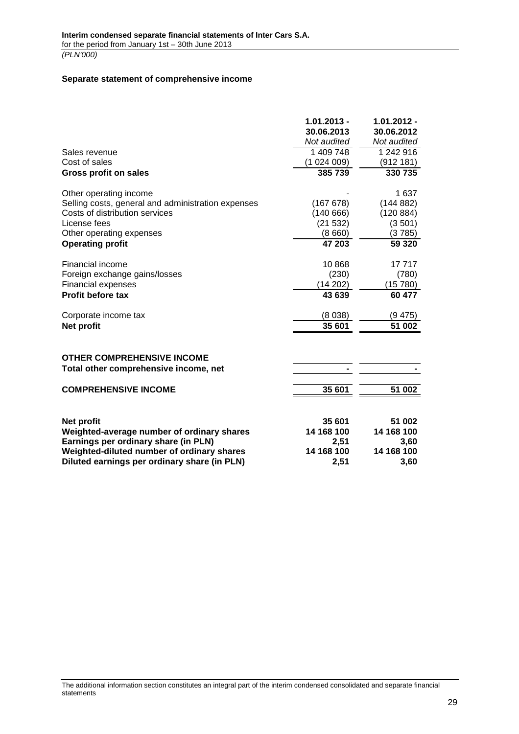#### **Separate statement of comprehensive income**

|                                                    | $1.01.2013 -$<br>30.06.2013 | $1.01.2012 -$<br>30.06.2012 |
|----------------------------------------------------|-----------------------------|-----------------------------|
|                                                    | Not audited                 | Not audited                 |
| Sales revenue                                      | 1 409 748                   | 1 242 916                   |
| Cost of sales                                      | (1024009)                   | (912 181)                   |
| <b>Gross profit on sales</b>                       | 385 739                     | 330 735                     |
| Other operating income                             |                             | 1 637                       |
| Selling costs, general and administration expenses | (167 678)                   | (144882)                    |
| Costs of distribution services                     | (140666)                    | (120 884)                   |
| License fees                                       | (21532)                     | (3501)                      |
| Other operating expenses                           | (8660)                      | (3785)                      |
| <b>Operating profit</b>                            | 47 203                      | 59 3 20                     |
| Financial income                                   | 10868                       | 17717                       |
| Foreign exchange gains/losses                      | (230)                       | (780)                       |
| <b>Financial expenses</b>                          | (14202)                     | (15 780)                    |
| <b>Profit before tax</b>                           | 43 639                      | 60 477                      |
| Corporate income tax                               | (8038)                      | (9 475)                     |
| Net profit                                         | 35 601                      | 51 002                      |
| <b>OTHER COMPREHENSIVE INCOME</b>                  |                             |                             |
| Total other comprehensive income, net              |                             |                             |
| <b>COMPREHENSIVE INCOME</b>                        | 35 601                      | 51 002                      |
|                                                    |                             |                             |
| Net profit                                         | 35 601                      | 51 002                      |
| Weighted-average number of ordinary shares         | 14 168 100                  | 14 168 100                  |
| Earnings per ordinary share (in PLN)               | 2,51                        | 3,60                        |
| Weighted-diluted number of ordinary shares         | 14 168 100                  | 14 168 100                  |
| Diluted earnings per ordinary share (in PLN)       | 2,51                        | 3,60                        |
|                                                    |                             |                             |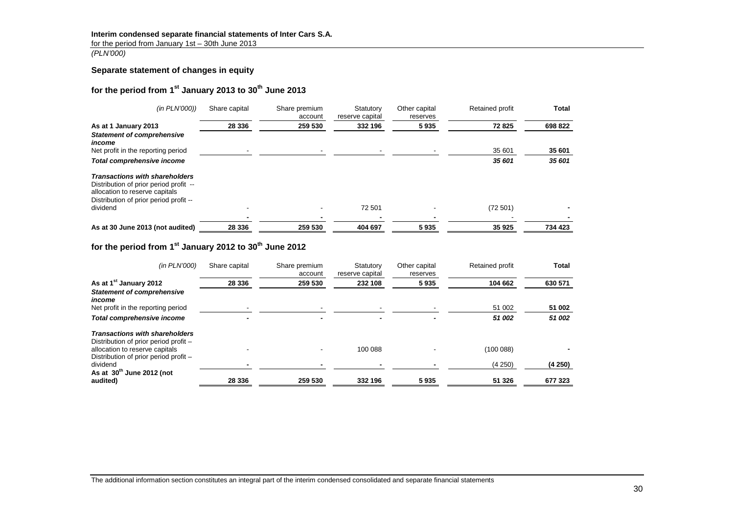# **Interim condensed separate financial statements of Inter Cars S.A.**

for the period from January 1st – 30th June 2013

(PLN'000)

## **Separate statement of changes in equity**

# **for the period from 1st January 2013 to 30th June 2013**

| (in PLN'000))                                                                                                                                               | Share capital | Share premium<br>account | Statutory<br>reserve capital | Other capital<br>reserves | <b>Retained profit</b> | Total   |
|-------------------------------------------------------------------------------------------------------------------------------------------------------------|---------------|--------------------------|------------------------------|---------------------------|------------------------|---------|
| As at 1 January 2013                                                                                                                                        | 28 336        | 259 530                  | 332 196                      | 5935                      | 72825                  | 698 822 |
| <b>Statement of comprehensive</b><br>income                                                                                                                 |               |                          |                              |                           |                        |         |
| Net profit in the reporting period                                                                                                                          |               |                          |                              |                           | 35 601                 | 35 601  |
| Total comprehensive income                                                                                                                                  |               |                          |                              |                           | 35 601                 | 35 601  |
| <b>Transactions with shareholders</b><br>Distribution of prior period profit --<br>allocation to reserve capitals<br>Distribution of prior period profit -- |               |                          |                              |                           |                        |         |
| dividend                                                                                                                                                    |               |                          | 72 501                       |                           | (72501)                |         |
|                                                                                                                                                             |               |                          |                              |                           |                        |         |
| As at 30 June 2013 (not audited)                                                                                                                            | 28 336        | 259 530                  | 404 697                      | 5935                      | 35 925                 | 734 423 |

# **for the period from 1st January 2012 to 30th June 2012**

| (in PLN'000)                                                                   | Share capital | Share premium<br>account | Statutory<br>reserve capital | Other capital<br>reserves | Retained profit | Total   |
|--------------------------------------------------------------------------------|---------------|--------------------------|------------------------------|---------------------------|-----------------|---------|
| As at 1 <sup>st</sup> January 2012                                             | 28 336        | 259 530                  | 232 108                      | 5935                      | 104 662         | 630 571 |
| <b>Statement of comprehensive</b><br>income                                    |               |                          |                              |                           |                 |         |
| Net profit in the reporting period                                             |               |                          |                              |                           | 51 002          | 51 002  |
| <b>Total comprehensive income</b>                                              |               |                          | -                            |                           | 51 002          | 51 002  |
| <b>Transactions with shareholders</b><br>Distribution of prior period profit - |               |                          |                              |                           |                 |         |
| allocation to reserve capitals<br>Distribution of prior period profit -        |               |                          | 100 088                      |                           | (100 088)       |         |
| dividend<br>As at $30th$ June 2012 (not                                        |               |                          |                              |                           | (4250)          | (4250)  |
| audited)                                                                       | 28 336        | 259 530                  | 332 196                      | 5935                      | 51 326          | 677 323 |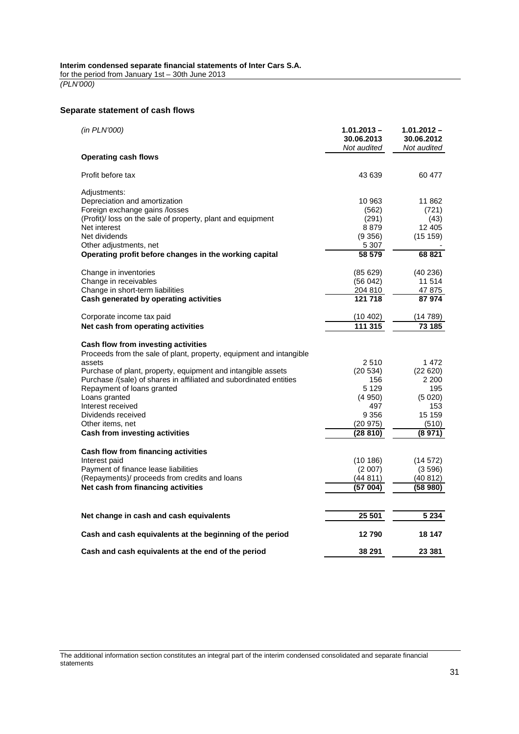for the period from January 1st – 30th June 2013 (PLN'000)

# **Separate statement of cash flows**

| (in PLN'000)                                                        | $1.01.2013 -$<br>30.06.2013<br>Not audited | 1.01.2012 -<br>30.06.2012<br>Not audited |
|---------------------------------------------------------------------|--------------------------------------------|------------------------------------------|
| <b>Operating cash flows</b>                                         |                                            |                                          |
| Profit before tax                                                   | 43 639                                     | 60 477                                   |
| Adjustments:                                                        |                                            |                                          |
| Depreciation and amortization                                       | 10 963                                     | 11 862                                   |
| Foreign exchange gains /losses                                      | (562)                                      | (721)                                    |
| (Profit)/ loss on the sale of property, plant and equipment         | (291)                                      | (43)                                     |
| Net interest                                                        | 8879                                       | 12 405                                   |
| Net dividends                                                       | (9356)                                     | (15159)                                  |
| Other adjustments, net                                              | 5 307                                      |                                          |
| Operating profit before changes in the working capital              | 58 579                                     | 68 821                                   |
| Change in inventories                                               | (85 629)                                   | (40236)                                  |
| Change in receivables                                               | (56 042)                                   | 11 514                                   |
| Change in short-term liabilities                                    | 204 810                                    | 47 875                                   |
| Cash generated by operating activities                              | 121 718                                    | 87974                                    |
| Corporate income tax paid                                           | (10 402)                                   | (14 789)                                 |
| Net cash from operating activities                                  | 111 315                                    | 73 185                                   |
| Cash flow from investing activities                                 |                                            |                                          |
| Proceeds from the sale of plant, property, equipment and intangible |                                            |                                          |
| assets                                                              | 2510                                       | 1472                                     |
| Purchase of plant, property, equipment and intangible assets        | (20 534)                                   | (22 620)                                 |
| Purchase /(sale) of shares in affiliated and subordinated entities  | 156                                        | 2 200                                    |
| Repayment of loans granted                                          | 5 1 2 9                                    | 195                                      |
| Loans granted                                                       | (4950)                                     | (5020)                                   |
| Interest received                                                   | 497                                        | 153                                      |
| Dividends received                                                  | 9 3 5 6                                    | 15 159                                   |
| Other items, net                                                    | (20975)                                    | (510)                                    |
| <b>Cash from investing activities</b>                               | (28 810)                                   | (8 971)                                  |
| Cash flow from financing activities                                 |                                            |                                          |
| Interest paid                                                       | (10 186)                                   | (14 572)                                 |
| Payment of finance lease liabilities                                | (2007)                                     | (3596)                                   |
| (Repayments)/ proceeds from credits and loans                       | (44 811)                                   | (40 812)                                 |
| Net cash from financing activities                                  | (57 004)                                   | (58980)                                  |
|                                                                     |                                            |                                          |
| Net change in cash and cash equivalents                             | 25 501                                     | 5 2 3 4                                  |
| Cash and cash equivalents at the beginning of the period            | 12790                                      | 18 147                                   |
| Cash and cash equivalents at the end of the period                  | 38 291                                     | 23 381                                   |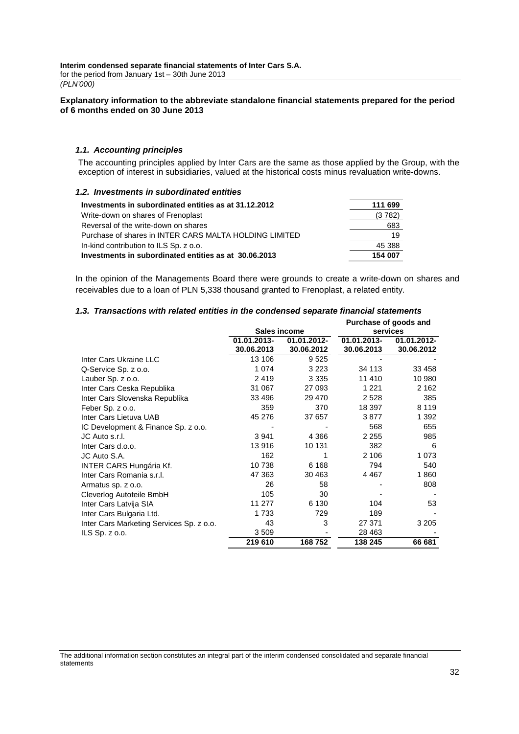for the period from January 1st – 30th June 2013 (PLN'000)

#### **Explanatory information to the abbreviate standalone financial statements prepared for the period of 6 months ended on 30 June 2013**

#### **1.1. Accounting principles**

The accounting principles applied by Inter Cars are the same as those applied by the Group, with the exception of interest in subsidiaries, valued at the historical costs minus revaluation write-downs.

#### **1.2. Investments in subordinated entities**

| Investments in subordinated entities as at 31.12.2012  | 111 699 |
|--------------------------------------------------------|---------|
| Write-down on shares of Frenoplast                     | (3 782) |
| Reversal of the write-down on shares                   | 683     |
| Purchase of shares in INTER CARS MALTA HOLDING LIMITED | 19      |
| In-kind contribution to ILS Sp. z o.o.                 | 45 388  |
| Investments in subordinated entities as at 30.06.2013  | 154 007 |

In the opinion of the Managements Board there were grounds to create a write-down on shares and receivables due to a loan of PLN 5,338 thousand granted to Frenoplast, a related entity.

#### **1.3. Transactions with related entities in the condensed separate financial statements**

|                                          | Sales income              |                           |                           | Purchase of goods and<br>services |
|------------------------------------------|---------------------------|---------------------------|---------------------------|-----------------------------------|
|                                          | 01.01.2013-<br>30.06.2013 | 01.01.2012-<br>30.06.2012 | 01.01.2013-<br>30.06.2013 | 01.01.2012-<br>30.06.2012         |
| Inter Cars Ukraine LLC                   | 13 106                    | 9525                      |                           |                                   |
| Q-Service Sp. z o.o.                     | 1 0 7 4                   | 3 2 2 3                   | 34 113                    | 33 458                            |
| Lauber Sp. z o.o.                        | 2419                      | 3 3 3 5                   | 11 410                    | 10 980                            |
| Inter Cars Ceska Republika               | 31 067                    | 27 093                    | 1 2 2 1                   | 2 1 6 2                           |
| Inter Cars Slovenska Republika           | 33 496                    | 29 470                    | 2 5 2 8                   | 385                               |
| Feber Sp. z o.o.                         | 359                       | 370                       | 18 397                    | 8 1 1 9                           |
| Inter Cars Lietuva UAB                   | 45 276                    | 37 657                    | 3877                      | 1 3 9 2                           |
| IC Development & Finance Sp. z o.o.      |                           |                           | 568                       | 655                               |
| JC Auto s.r.l.                           | 3 9 4 1                   | 4 3 6 6                   | 2 2 5 5                   | 985                               |
| Inter Cars d.o.o.                        | 13916                     | 10 131                    | 382                       | 6                                 |
| JC Auto S.A.                             | 162                       | 1                         | 2 10 6                    | 1 0 7 3                           |
| INTER CARS Hungária Kf.                  | 10738                     | 6 1 6 8                   | 794                       | 540                               |
| Inter Cars Romania s.r.l.                | 47 363                    | 30 463                    | 4 4 6 7                   | 1860                              |
| Armatus sp. z o.o.                       | 26                        | 58                        |                           | 808                               |
| Cleverlog Autoteile BmbH                 | 105                       | 30                        |                           |                                   |
| Inter Cars Latvija SIA                   | 11 277                    | 6 1 3 0                   | 104                       | 53                                |
| Inter Cars Bulgaria Ltd.                 | 1733                      | 729                       | 189                       |                                   |
| Inter Cars Marketing Services Sp. z o.o. | 43                        | 3                         | 27 371                    | 3 2 0 5                           |
| $ILS$ Sp. $z$ 0.0.                       | 3509                      |                           | 28 4 63                   |                                   |
|                                          | 219 610                   | 168752                    | 138 245                   | 66 681                            |

The additional information section constitutes an integral part of the interim condensed consolidated and separate financial statements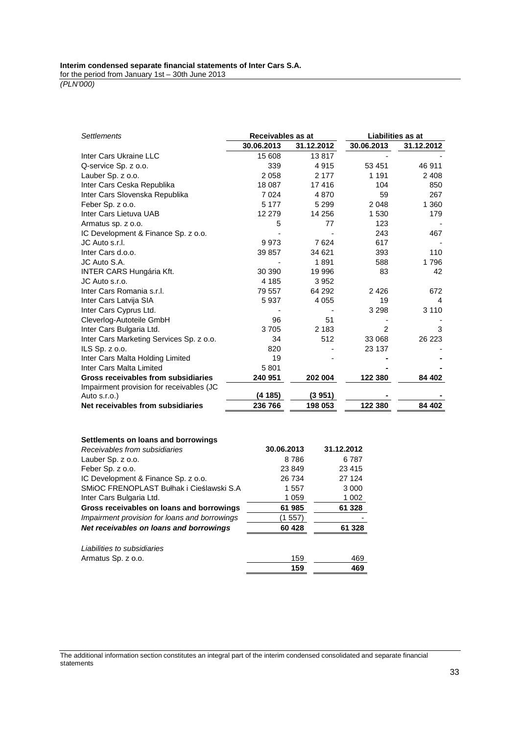for the period from January 1st – 30th June 2013

(PLN'000)

| <b>Settlements</b>                       | Receivables as at |            |                | Liabilities as at |
|------------------------------------------|-------------------|------------|----------------|-------------------|
|                                          | 30.06.2013        | 31.12.2012 | 30.06.2013     | 31.12.2012        |
| Inter Cars Ukraine LLC                   | 15 608            | 13817      |                |                   |
| Q-service Sp. z o.o.                     | 339               | 4915       | 53 451         | 46 911            |
| Lauber Sp. z o.o.                        | 2058              | 2 1 7 7    | 1 1 9 1        | 2 4 0 8           |
| Inter Cars Ceska Republika               | 18 087            | 17416      | 104            | 850               |
| Inter Cars Slovenska Republika           | 7 0 24            | 4870       | 59             | 267               |
| Feber Sp. z o.o.                         | 5 1 7 7           | 5 2 9 9    | 2 0 4 8        | 1 3 6 0           |
| Inter Cars Lietuva UAB                   | 12 279            | 14 25 6    | 1 530          | 179               |
| Armatus sp. z o.o.                       | 5                 | 77         | 123            |                   |
| IC Development & Finance Sp. z o.o.      |                   |            | 243            | 467               |
| JC Auto s.r.l.                           | 9973              | 7624       | 617            |                   |
| Inter Cars d.o.o.                        | 39 857            | 34 621     | 393            | 110               |
| JC Auto S.A.                             |                   | 1891       | 588            | 1796              |
| <b>INTER CARS Hungária Kft.</b>          | 30 390            | 19 996     | 83             | 42                |
| JC Auto s.r.o.                           | 4 1 8 5           | 3952       |                |                   |
| Inter Cars Romania s.r.l.                | 79 557            | 64 292     | 2 4 2 6        | 672               |
| Inter Cars Latvija SIA                   | 5937              | 4 0 5 5    | 19             | 4                 |
| Inter Cars Cyprus Ltd.                   |                   |            | 3 2 9 8        | 3 1 1 0           |
| Cleverlog-Autoteile GmbH                 | 96                | 51         |                |                   |
| Inter Cars Bulgaria Ltd.                 | 3705              | 2 1 8 3    | $\overline{2}$ | 3                 |
| Inter Cars Marketing Services Sp. z o.o. | 34                | 512        | 33 068         | 26 223            |
| ILS Sp. z o.o.                           | 820               |            | 23 137         |                   |
| Inter Cars Malta Holding Limited         | 19                |            |                |                   |
| Inter Cars Malta Limited                 | 5801              |            |                |                   |
| Gross receivables from subsidiaries      | 240 951           | 202 004    | 122 380        | 84 402            |
| Impairment provision for receivables (JC |                   |            |                |                   |
| Auto s.r.o.)                             | (4 185)           | (3951)     |                |                   |
| Net receivables from subsidiaries        | 236 766           | 198 053    | 122 380        | 84 402            |
|                                          |                   |            |                |                   |
| Settlements on loans and borrowings      |                   |            |                |                   |
| Receivables from subsidiaries            | 30.06.2013        |            | 31.12.2012     |                   |

| Receivables from subsidiaries                 | 30.06.2013 | 31.12.2012 |
|-----------------------------------------------|------------|------------|
| Lauber Sp. z o.o.                             | 8786       | 6787       |
| Feber Sp. z o.o.                              | 23 849     | 23 4 15    |
| IC Development & Finance Sp. z o.o.           | 26 734     | 27 1 24    |
| SMIOC FRENOPLAST Bułhak i Cieślawski S.A      | 1557       | 3 0 0 0    |
| Inter Cars Bulgaria Ltd.                      | 1 0 5 9    | 1 0 0 2    |
| Gross receivables on loans and borrowings     | 61 985     | 61 328     |
| Impairment provision for loans and borrowings | (1 557)    |            |
| Net receivables on loans and borrowings       | 60 428     | 61 328     |
| Liabilities to subsidiaries                   |            |            |
| Armatus Sp. z o.o.                            | 159        | 469        |
|                                               | 159        | 469        |

The additional information section constitutes an integral part of the interim condensed consolidated and separate financial statements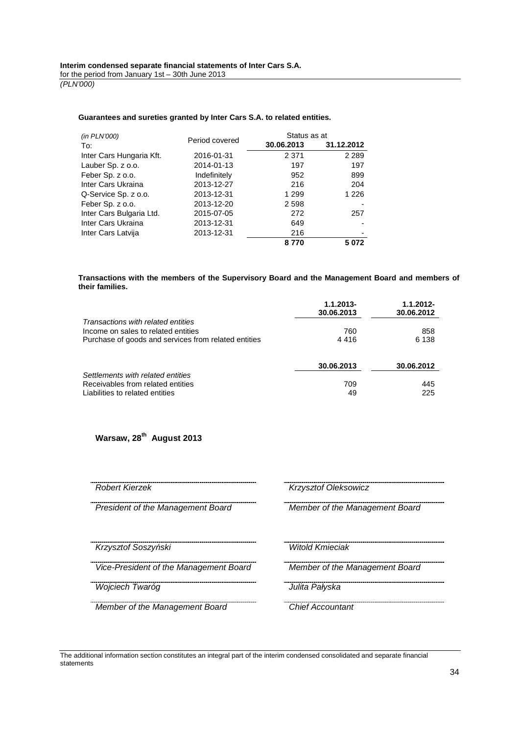#### **Guarantees and sureties granted by Inter Cars S.A. to related entities.**

| (in PLN'000)             |                | Status as at |            |
|--------------------------|----------------|--------------|------------|
| To:                      | Period covered | 30.06.2013   | 31.12.2012 |
| Inter Cars Hungaria Kft. | 2016-01-31     | 2 3 7 1      | 2 2 8 9    |
| Lauber Sp. z o.o.        | 2014-01-13     | 197          | 197        |
| Feber Sp. z o.o.         | Indefinitely   | 952          | 899        |
| Inter Cars Ukraina       | 2013-12-27     | 216          | 204        |
| Q-Service Sp. z o.o.     | 2013-12-31     | 1 2 9 9      | 1 2 2 6    |
| Feber Sp. z o.o.         | 2013-12-20     | 2 5 9 8      |            |
| Inter Cars Bulgaria Ltd. | 2015-07-05     | 272          | 257        |
| Inter Cars Ukraina       | 2013-12-31     | 649          |            |
| Inter Cars Latvija       | 2013-12-31     | 216          | -          |
|                          |                | 8770         | 5072       |

**Transactions with the members of the Supervisory Board and the Management Board and members of their families.** 

|                                                                           | $1.1.2013 -$<br>30.06.2013 | $1.1.2012 -$<br>30.06.2012 |
|---------------------------------------------------------------------------|----------------------------|----------------------------|
| Transactions with related entities<br>Income on sales to related entities | 760                        | 858                        |
| Purchase of goods and services from related entities                      | 4416                       | 6 1 3 8                    |
|                                                                           | 30.06.2013                 | 30.06.2012                 |
| Settlements with related entities<br>Receivables from related entities    | 709                        | 445                        |
| Liabilities to related entities                                           | 49                         | 225                        |

**Warsaw, 28th August 2013** 

President of the Management Board Member of the Management Board

Krzysztof Soszy*ń*ski Witold Kmieciak

Vice-President of the Management Board Member of the Management Board

<u>wojciech Twaróg III (IIII (IIII (IIII - Julita Pałyska)</u>

Member of the Management Board Chief Accountant

Robert Kierzek Krzysztof Oleksowicz<br>Robert Kierzek Krzysztof Oleksowicz

The additional information section constitutes an integral part of the interim condensed consolidated and separate financial statements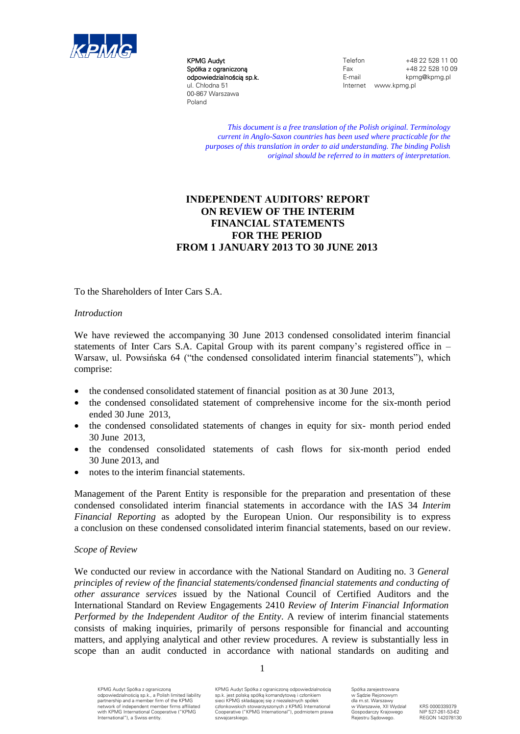

KPMG Audyt Spółka z ograniczoną odpowiedzialnością sp.k. ul. Chłodna 51 00-867 Warszawa Poland

Telefon +48 22 528 11 00<br>Fax +48 22 528 10 09 Fax +48 22 528 10 09<br>F-mail knmg@knmg pl kpmg@kpmg.pl Internet www.kpmg.pl

*This document is a free translation of the Polish original. Terminology current in Anglo-Saxon countries has been used where practicable for the purposes of this translation in order to aid understanding. The binding Polish original should be referred to in matters of interpretation.*

# **INDEPENDENT AUDITORS' REPORT ON REVIEW OF THE INTERIM FINANCIAL STATEMENTS FOR THE PERIOD FROM 1 JANUARY 2013 TO 30 JUNE 2013**

To the Shareholders of Inter Cars S.A.

#### *Introduction*

We have reviewed the accompanying 30 June 2013 condensed consolidated interim financial statements of Inter Cars S.A. Capital Group with its parent company's registered office in – Warsaw, ul. Powsińska 64 ("the condensed consolidated interim financial statements"), which comprise:

- the condensed consolidated statement of financial position as at 30 June 2013,
- the condensed consolidated statement of comprehensive income for the six-month period ended 30 June 2013,
- the condensed consolidated statements of changes in equity for six- month period ended 30 June 2013,
- the condensed consolidated statements of cash flows for six-month period ended 30 June 2013, and
- notes to the interim financial statements.

Management of the Parent Entity is responsible for the preparation and presentation of these condensed consolidated interim financial statements in accordance with the IAS 34 *Interim Financial Reporting* as adopted by the European Union. Our responsibility is to express a conclusion on these condensed consolidated interim financial statements, based on our review.

#### *Scope of Review*

We conducted our review in accordance with the National Standard on Auditing no. 3 *General principles of review of the financial statements/condensed financial statements and conducting of other assurance services* issued by the National Council of Certified Auditors and the International Standard on Review Engagements 2410 *Review of Interim Financial Information Performed by the Independent Auditor of the Entity*. A review of interim financial statements consists of making inquiries, primarily of persons responsible for financial and accounting matters, and applying analytical and other review procedures. A review is substantially less in scope than an audit conducted in accordance with national standards on auditing and

1

KPMG Audyt Spółka z ograniczoną odpowiedzialnością sp.k., a Polish limited liability partnership and a member firm of the KPMG network of independent member firms affiliated with KPMG International Cooperative ("KPMG International"), a Swiss entity.

KPMG Audyt Spółka z ograniczoną odpowiedzialnością sp.k. jest polską spółką komandytową i członkiem sieci KPMG składającej się z niezależnych spółek członkowskich stowarzyszonych z KPMG International Cooperative ("KPMG International"), podmiotem prawa szwajcarskiego.

Spółka zarejestrowana w Sądzie Rejonowym dla m.st. Warszawy w Warszawie, XII Wydział Gospodarczy Krajowego Rejestru Sądowego.

KRS 0000339379 NIP 527-261-53-62 REGON 142078130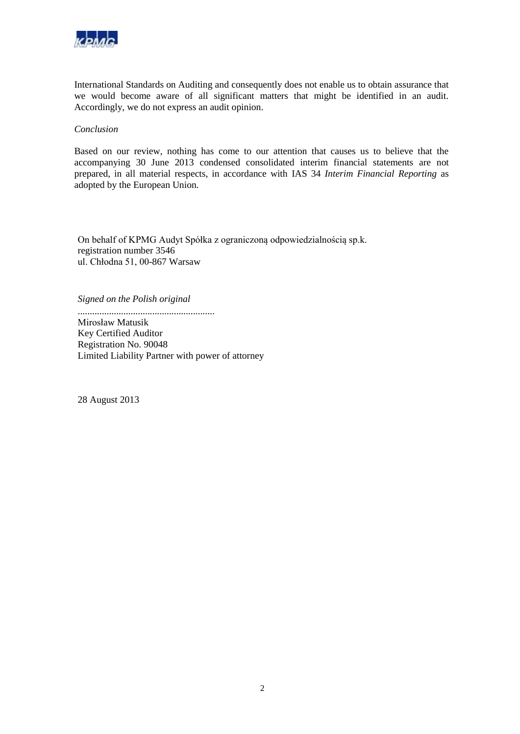

International Standards on Auditing and consequently does not enable us to obtain assurance that we would become aware of all significant matters that might be identified in an audit. Accordingly, we do not express an audit opinion.

#### *Conclusion*

Based on our review, nothing has come to our attention that causes us to believe that the accompanying 30 June 2013 condensed consolidated interim financial statements are not prepared, in all material respects, in accordance with IAS 34 *Interim Financial Reporting* as adopted by the European Union*.*

On behalf of KPMG Audyt Spółka z ograniczoną odpowiedzialnością sp.k. registration number 3546 ul. Chłodna 51, 00-867 Warsaw

*Signed on the Polish original*

.........................................................

Mirosław Matusik Key Certified Auditor Registration No. 90048 Limited Liability Partner with power of attorney

28 August 2013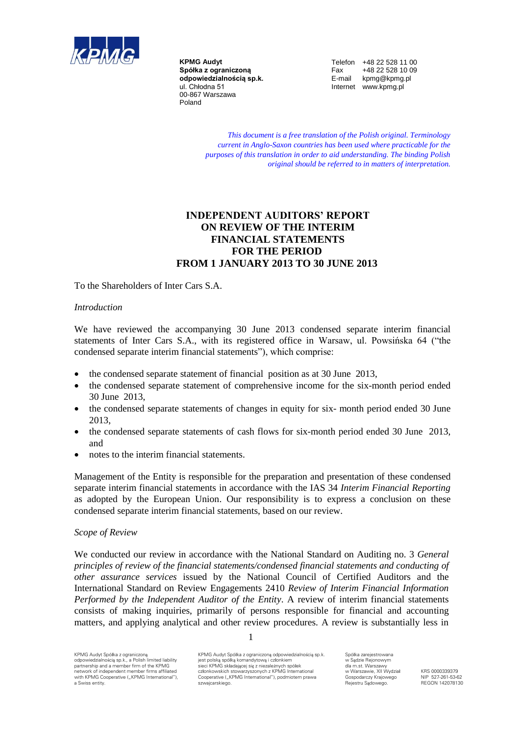

**KPMG Audyt Spółka z ograniczoną odpowiedzialnością sp.k.** ul. Chłodna 51 00-867 Warszawa Poland

Telefon +48 22 528 11 00<br>Fax +48 22 528 10 09 Fax +48 22 528 10 09<br>E-mail kpmg@kpmg.pl kpmg@kpmg.pl Internet www.kpmg.pl

*This document is a free translation of the Polish original. Terminology current in Anglo-Saxon countries has been used where practicable for the purposes of this translation in order to aid understanding. The binding Polish original should be referred to in matters of interpretation.*

# **INDEPENDENT AUDITORS' REPORT ON REVIEW OF THE INTERIM FINANCIAL STATEMENTS FOR THE PERIOD FROM 1 JANUARY 2013 TO 30 JUNE 2013**

To the Shareholders of Inter Cars S.A.

## *Introduction*

We have reviewed the accompanying 30 June 2013 condensed separate interim financial statements of Inter Cars S.A., with its registered office in Warsaw, ul. Powsińska 64 ("the condensed separate interim financial statements"), which comprise:

- the condensed separate statement of financial position as at 30 June 2013,
- the condensed separate statement of comprehensive income for the six-month period ended 30 June 2013,
- the condensed separate statements of changes in equity for six- month period ended 30 June 2013,
- the condensed separate statements of cash flows for six-month period ended 30 June 2013, and
- notes to the interim financial statements.

Management of the Entity is responsible for the preparation and presentation of these condensed separate interim financial statements in accordance with the IAS 34 *Interim Financial Reporting* as adopted by the European Union. Our responsibility is to express a conclusion on these condensed separate interim financial statements, based on our review.

#### *Scope of Review*

We conducted our review in accordance with the National Standard on Auditing no. 3 *General principles of review of the financial statements/condensed financial statements and conducting of other assurance services* issued by the National Council of Certified Auditors and the International Standard on Review Engagements 2410 *Review of Interim Financial Information Performed by the Independent Auditor of the Entity*. A review of interim financial statements consists of making inquiries, primarily of persons responsible for financial and accounting matters, and applying analytical and other review procedures. A review is substantially less in

KPMG Audyt Spółka z ograniczoną odpowiedzialnością sp.k. jest polską spółką komandytową i członkiem sieci KPMG składającej się z niezależnych spółek członkowskich stowarzyszonych z KPMG International Cooperative ("KPMG International"), podmiotem prawa<br>szwajcarskiego.

1

Spółka zarejestrowana w Sądzie Rejonowym dla m.st. Warszawy w Warszawie, XII Wydział Gospodarczy Krajowego Rejestru Sądowego.

KRS 0000339379 NIP 527-261-53-62 REGON 142078130